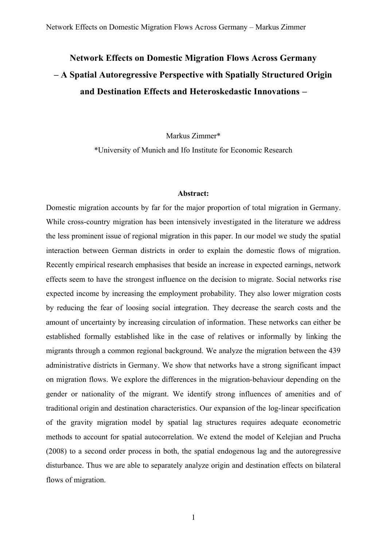## **Network Effects on Domestic Migration Flows Across Germany – A Spatial Autoregressive Perspective with Spatially Structured Origin and Destination Effects and Heteroskedastic Innovations –**

Markus Zimmer\*

\*University of Munich and Ifo Institute for Economic Research

## **Abstract:**

Domestic migration accounts by far for the major proportion of total migration in Germany. While cross-country migration has been intensively investigated in the literature we address the less prominent issue of regional migration in this paper. In our model we study the spatial interaction between German districts in order to explain the domestic flows of migration. Recently empirical research emphasises that beside an increase in expected earnings, network effects seem to have the strongest influence on the decision to migrate. Social networks rise expected income by increasing the employment probability. They also lower migration costs by reducing the fear of loosing social integration. They decrease the search costs and the amount of uncertainty by increasing circulation of information. These networks can either be established formally established like in the case of relatives or informally by linking the migrants through a common regional background. We analyze the migration between the 439 administrative districts in Germany. We show that networks have a strong significant impact on migration flows. We explore the differences in the migration-behaviour depending on the gender or nationality of the migrant. We identify strong influences of amenities and of traditional origin and destination characteristics. Our expansion of the log-linear specification of the gravity migration model by spatial lag structures requires adequate econometric methods to account for spatial autocorrelation. We extend the model of Kelejian and Prucha (2008) to a second order process in both, the spatial endogenous lag and the autoregressive disturbance. Thus we are able to separately analyze origin and destination effects on bilateral flows of migration.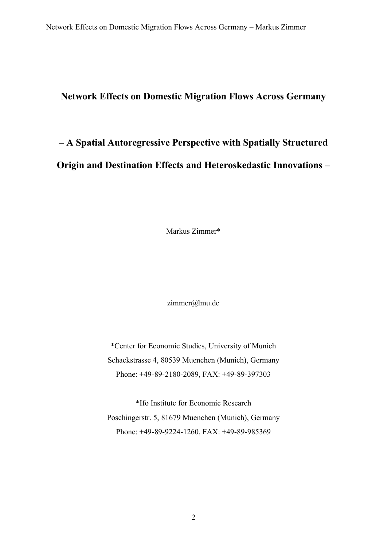## **Network Effects on Domestic Migration Flows Across Germany**

# **– A Spatial Autoregressive Perspective with Spatially Structured Origin and Destination Effects and Heteroskedastic Innovations –**

Markus Zimmer\*

zimmer@lmu.de

\*Center for Economic Studies, University of Munich Schackstrasse 4, 80539 Muenchen (Munich), Germany Phone: +49-89-2180-2089, FAX: +49-89-397303

\*Ifo Institute for Economic Research Poschingerstr. 5, 81679 Muenchen (Munich), Germany Phone: +49-89-9224-1260, FAX: +49-89-985369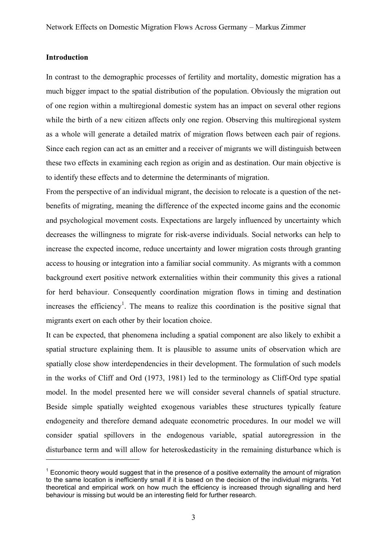## **Introduction**

 $\overline{a}$ 

In contrast to the demographic processes of fertility and mortality, domestic migration has a much bigger impact to the spatial distribution of the population. Obviously the migration out of one region within a multiregional domestic system has an impact on several other regions while the birth of a new citizen affects only one region. Observing this multiregional system as a whole will generate a detailed matrix of migration flows between each pair of regions. Since each region can act as an emitter and a receiver of migrants we will distinguish between these two effects in examining each region as origin and as destination. Our main objective is to identify these effects and to determine the determinants of migration.

From the perspective of an individual migrant, the decision to relocate is a question of the netbenefits of migrating, meaning the difference of the expected income gains and the economic and psychological movement costs. Expectations are largely influenced by uncertainty which decreases the willingness to migrate for risk-averse individuals. Social networks can help to increase the expected income, reduce uncertainty and lower migration costs through granting access to housing or integration into a familiar social community. As migrants with a common background exert positive network externalities within their community this gives a rational for herd behaviour. Consequently coordination migration flows in timing and destination increases the efficiency<sup>1</sup>. The means to realize this coordination is the positive signal that migrants exert on each other by their location choice.

It can be expected, that phenomena including a spatial component are also likely to exhibit a spatial structure explaining them. It is plausible to assume units of observation which are spatially close show interdependencies in their development. The formulation of such models in the works of Cliff and Ord (1973, 1981) led to the terminology as Cliff-Ord type spatial model. In the model presented here we will consider several channels of spatial structure. Beside simple spatially weighted exogenous variables these structures typically feature endogeneity and therefore demand adequate econometric procedures. In our model we will consider spatial spillovers in the endogenous variable, spatial autoregression in the disturbance term and will allow for heteroskedasticity in the remaining disturbance which is

 $1$  Economic theory would suggest that in the presence of a positive externality the amount of migration to the same location is inefficiently small if it is based on the decision of the individual migrants. Yet theoretical and empirical work on how much the efficiency is increased through signalling and herd behaviour is missing but would be an interesting field for further research.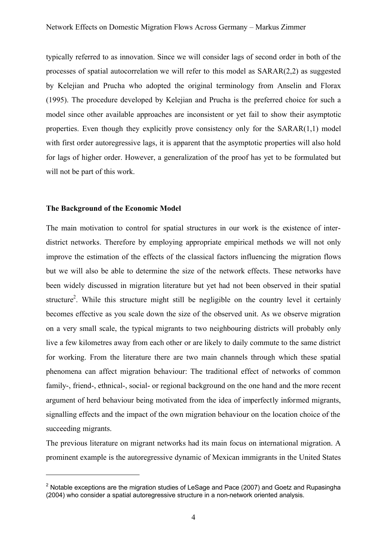typically referred to as innovation. Since we will consider lags of second order in both of the processes of spatial autocorrelation we will refer to this model as  $SARAR(2,2)$  as suggested by Kelejian and Prucha who adopted the original terminology from Anselin and Florax (1995). The procedure developed by Kelejian and Prucha is the preferred choice for such a model since other available approaches are inconsistent or yet fail to show their asymptotic properties. Even though they explicitly prove consistency only for the SARAR(1,1) model with first order autoregressive lags, it is apparent that the asymptotic properties will also hold for lags of higher order. However, a generalization of the proof has yet to be formulated but will not be part of this work.

## **The Background of the Economic Model**

 $\overline{a}$ 

The main motivation to control for spatial structures in our work is the existence of interdistrict networks. Therefore by employing appropriate empirical methods we will not only improve the estimation of the effects of the classical factors influencing the migration flows but we will also be able to determine the size of the network effects. These networks have been widely discussed in migration literature but yet had not been observed in their spatial structure<sup>2</sup>. While this structure might still be negligible on the country level it certainly becomes effective as you scale down the size of the observed unit. As we observe migration on a very small scale, the typical migrants to two neighbouring districts will probably only live a few kilometres away from each other or are likely to daily commute to the same district for working. From the literature there are two main channels through which these spatial phenomena can affect migration behaviour: The traditional effect of networks of common family-, friend-, ethnical-, social- or regional background on the one hand and the more recent argument of herd behaviour being motivated from the idea of imperfectly informed migrants, signalling effects and the impact of the own migration behaviour on the location choice of the succeeding migrants.

The previous literature on migrant networks had its main focus on international migration. A prominent example is the autoregressive dynamic of Mexican immigrants in the United States

 $2$  Notable exceptions are the migration studies of LeSage and Pace (2007) and Goetz and Rupasingha (2004) who consider a spatial autoregressive structure in a non-network oriented analysis.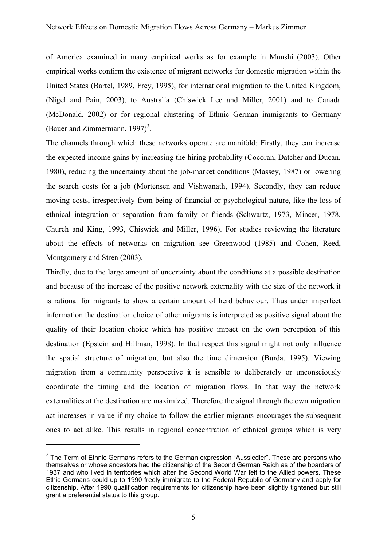of America examined in many empirical works as for example in Munshi (2003). Other empirical works confirm the existence of migrant networks for domestic migration within the United States (Bartel, 1989, Frey, 1995), for international migration to the United Kingdom, (Nigel and Pain, 2003), to Australia (Chiswick Lee and Miller, 2001) and to Canada (McDonald, 2002) or for regional clustering of Ethnic German immigrants to Germany (Bauer and Zimmermann, 1997)<sup>3</sup>.

The channels through which these networks operate are manifold: Firstly, they can increase the expected income gains by increasing the hiring probability (Cocoran, Datcher and Ducan, 1980), reducing the uncertainty about the job-market conditions (Massey, 1987) or lowering the search costs for a job (Mortensen and Vishwanath, 1994). Secondly, they can reduce moving costs, irrespectively from being of financial or psychological nature, like the loss of ethnical integration or separation from family or friends (Schwartz, 1973, Mincer, 1978, Church and King, 1993, Chiswick and Miller, 1996). For studies reviewing the literature about the effects of networks on migration see Greenwood (1985) and Cohen, Reed, Montgomery and Stren (2003).

Thirdly, due to the large amount of uncertainty about the conditions at a possible destination and because of the increase of the positive network externality with the size of the network it is rational for migrants to show a certain amount of herd behaviour. Thus under imperfect information the destination choice of other migrants is interpreted as positive signal about the quality of their location choice which has positive impact on the own perception of this destination (Epstein and Hillman, 1998). In that respect this signal might not only influence the spatial structure of migration, but also the time dimension (Burda, 1995). Viewing migration from a community perspective it is sensible to deliberately or unconsciously coordinate the timing and the location of migration flows. In that way the network externalities at the destination are maximized. Therefore the signal through the own migration act increases in value if my choice to follow the earlier migrants encourages the subsequent ones to act alike. This results in regional concentration of ethnical groups which is very

 $\overline{a}$ 

 $3$  The Term of Ethnic Germans refers to the German expression "Aussiedler". These are persons who themselves or whose ancestors had the citizenship of the Second German Reich as of the boarders of 1937 and who lived in territories which after the Second World War felt to the Allied powers. These Ethic Germans could up to 1990 freely immigrate to the Federal Republic of Germany and apply for citizenship. After 1990 qualification requirements for citizenship have been slightly tightened but still grant a preferential status to this group.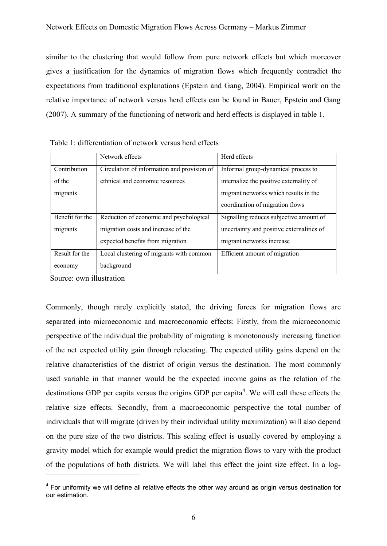similar to the clustering that would follow from pure network effects but which moreover gives a justification for the dynamics of migration flows which frequently contradict the expectations from traditional explanations (Epstein and Gang, 2004). Empirical work on the relative importance of network versus herd effects can be found in Bauer, Epstein and Gang (2007). A summary of the functioning of network and herd effects is displayed in table 1.

|                 | Network effects                             | Herd effects                              |
|-----------------|---------------------------------------------|-------------------------------------------|
| Contribution    | Circulation of information and provision of | Informal group-dynamical process to       |
| of the          | ethnical and economic resources             | internalize the positive externality of   |
| migrants        |                                             | migrant networks which results in the     |
|                 |                                             | coordination of migration flows           |
| Benefit for the | Reduction of economic and psychological     | Signalling reduces subjective amount of   |
| migrants        | migration costs and increase of the         | uncertainty and positive externalities of |
|                 | expected benefits from migration            | migrant networks increase                 |
| Result for the  | Local clustering of migrants with common    | Efficient amount of migration             |
| economy         | background                                  |                                           |

Table 1: differentiation of network versus herd effects

Source: own illustration

 $\overline{a}$ 

Commonly, though rarely explicitly stated, the driving forces for migration flows are separated into microeconomic and macroeconomic effects: Firstly, from the microeconomic perspective of the individual the probability of migrating is monotonously increasing function of the net expected utility gain through relocating. The expected utility gains depend on the relative characteristics of the district of origin versus the destination. The most commonly used variable in that manner would be the expected income gains as the relation of the destinations GDP per capita versus the origins GDP per capita<sup>4</sup>. We will call these effects the relative size effects. Secondly, from a macroeconomic perspective the total number of individuals that will migrate (driven by their individual utility maximization) will also depend on the pure size of the two districts. This scaling effect is usually covered by employing a gravity model which for example would predict the migration flows to vary with the product of the populations of both districts. We will label this effect the joint size effect. In a log-

 $4$  For uniformity we will define all relative effects the other way around as origin versus destination for our estimation.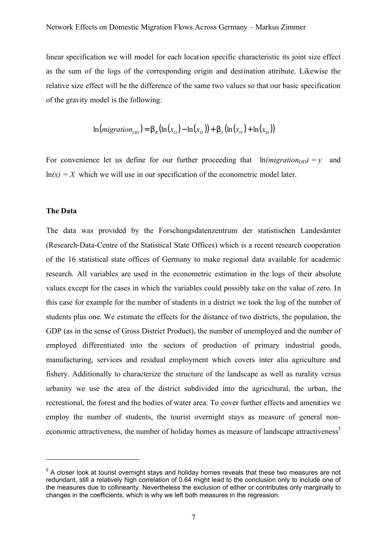linear specification we will model for each location specific characteristic its joint size effect as the sum of the logs of the corresponding origin and destination attribute. Likewise the relative size effect will be the difference of the same two values so that our basic specification of the gravity model is the following:

$$
\ln(migration_{OD}) = b_R(\ln(x_O) - \ln(x_D)) + b_J(\ln(x_O) + \ln(x_D))
$$

For convenience let us define for our further proceeding that  $\ln(migration_{OD}) = v$  and  $ln(x) = X$  which we will use in our specification of the econometric model later.

#### **The Data**

 $\overline{a}$ 

The data was provided by the Forschungsdatenzentrum der statistischen Landesämter (Research-Data-Centre of the Statistical State Offices) which is a recent research cooperation of the 16 statistical state offices of Germany to make regional data available for academic research. All variables are used in the econometric estimation in the logs of their absolute values except for the cases in which the variables could possibly take on the value of zero. In this case for example for the number of students in a district we took the log of the number of students plus one. We estimate the effects for the distance of two districts, the population, the GDP (as in the sense of Gross District Product), the number of unemployed and the number of employed differentiated into the sectors of production of primary industrial goods, manufacturing, services and residual employment which covers inter alia agriculture and fishery. Additionally to characterize the structure of the landscape as well as rurality versus urbanity we use the area of the district subdivided into the agricultural, the urban, the recreational, the forest and the bodies of water area. To cover further effects and amenities we employ the number of students, the tourist overnight stays as measure of general noneconomic attractiveness, the number of holiday homes as measure of landscape attractiveness<sup>5</sup>

<sup>&</sup>lt;sup>5</sup> A closer look at tourist overnight stays and holiday homes reveals that these two measures are not redundant, still a relatively high correlation of 0.64 might lead to the conclusion only to include one of the measures due to collinearity. Nevertheless the exclusion of either or contributes only marginally to changes in the coefficients, which is why we left both measures in the regression.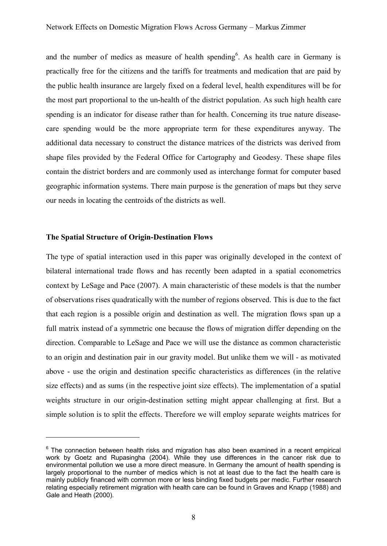and the number of medics as measure of health spending<sup>6</sup>. As health care in Germany is practically free for the citizens and the tariffs for treatments and medication that are paid by the public health insurance are largely fixed on a federal level, health expenditures will be for the most part proportional to the un-health of the district population. As such high health care spending is an indicator for disease rather than for health. Concerning its true nature diseasecare spending would be the more appropriate term for these expenditures anyway. The additional data necessary to construct the distance matrices of the districts was derived from shape files provided by the Federal Office for Cartography and Geodesy. These shape files contain the district borders and are commonly used as interchange format for computer based geographic information systems. There main purpose is the generation of maps but they serve our needs in locating the centroids of the districts as well.

## **The Spatial Structure of Origin-Destination Flows**

 $\overline{a}$ 

The type of spatial interaction used in this paper was originally developed in the context of bilateral international trade flows and has recently been adapted in a spatial econometrics context by LeSage and Pace (2007). A main characteristic of these models is that the number of observations rises quadratically with the number of regions observed. This is due to the fact that each region is a possible origin and destination as well. The migration flows span up a full matrix instead of a symmetric one because the flows of migration differ depending on the direction. Comparable to LeSage and Pace we will use the distance as common characteristic to an origin and destination pair in our gravity model. But unlike them we will - as motivated above - use the origin and destination specific characteristics as differences (in the relative size effects) and as sums (in the respective joint size effects). The implementation of a spatial weights structure in our origin-destination setting might appear challenging at first. But a simple solution is to split the effects. Therefore we will employ separate weights matrices for

 $6$  The connection between health risks and migration has also been examined in a recent empirical work by Goetz and Rupasingha (2004). While they use differences in the cancer risk due to environmental pollution we use a more direct measure. In Germany the amount of health spending is largely proportional to the number of medics which is not at least due to the fact the health care is mainly publicly financed with common more or less binding fixed budgets per medic. Further research relating especially retirement migration with health care can be found in Graves and Knapp (1988) and Gale and Heath (2000).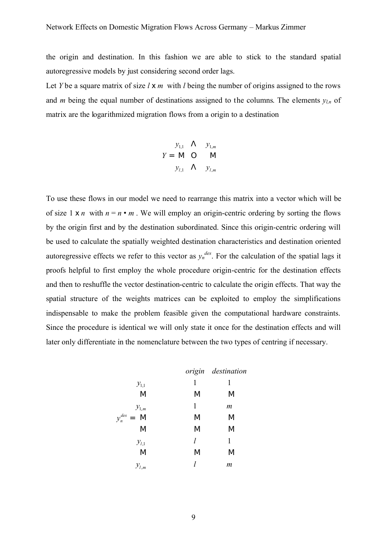the origin and destination. In this fashion we are able to stick to the standard spatial autoregressive models by just considering second order lags.

Let *Y* be a square matrix of size *l* x *m* with *l* being the number of origins assigned to the rows and *m* being the equal number of destinations assigned to the columns. The elements  $y_{l,n}$  of matrix are the logarithmized migration flows from a origin to a destination

$$
y_{1,1} \quad \Lambda \qquad y_{1,m}
$$

$$
Y = \mathbf{M} \quad \mathbf{O} \qquad \mathbf{M}
$$

$$
y_{l,1} \qquad \Lambda \qquad y_{l,m}
$$

To use these flows in our model we need to rearrange this matrix into a vector which will be of size 1  $\times$  *n* with  $n = n \cdot m$ . We will employ an origin-centric ordering by sorting the flows by the origin first and by the destination subordinated. Since this origin-centric ordering will be used to calculate the spatially weighted destination characteristics and destination oriented autoregressive effects we refer to this vector as  $y_n^{des}$ . For the calculation of the spatial lags it proofs helpful to first employ the whole procedure origin-centric for the destination effects and then to reshuffle the vector destination-centric to calculate the origin effects. That way the spatial structure of the weights matrices can be exploited to employ the simplifications indispensable to make the problem feasible given the computational hardware constraints. Since the procedure is identical we will only state it once for the destination effects and will later only differentiate in the nomenclature between the two types of centring if necessary.

|                             |   | origin destination |
|-----------------------------|---|--------------------|
| $y_{1,1}$                   | 1 | 1                  |
| M                           | M | M                  |
| $y_{1,m}$                   | 1 | $\boldsymbol{m}$   |
| $y_n^{des}$<br>$\mathbf{M}$ | M | M                  |
| M                           | M | M                  |
| $y_{l,1}$                   | l | 1                  |
| M                           | M | M                  |
| $y_{l,m}$                   | l | m                  |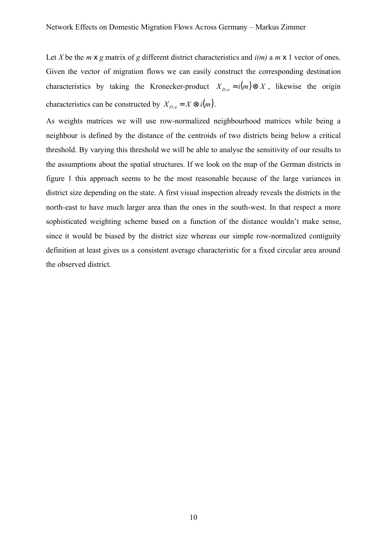Let *X* be the *m*  $\times$  *g* matrix of *g* different district characteristics and  $i(m)$  a *m*  $\times$  1 vector of ones. Given the vector of migration flows we can easily construct the corresponding destination characteristics by taking the Kronecker-product  $X_{D,n} = i(m) \otimes X$ , likewise the origin characteristics can be constructed by  $X_{O,n} = X \otimes i(m)$ .

As weights matrices we will use row-normalized neighbourhood matrices while being a neighbour is defined by the distance of the centroids of two districts being below a critical threshold. By varying this threshold we will be able to analyse the sensitivity of our results to the assumptions about the spatial structures. If we look on the map of the German districts in figure 1 this approach seems to be the most reasonable because of the large variances in district size depending on the state. A first visual inspection already reveals the districts in the north-east to have much larger area than the ones in the south-west. In that respect a more sophisticated weighting scheme based on a function of the distance wouldn't make sense, since it would be biased by the district size whereas our simple row-normalized contiguity definition at least gives us a consistent average characteristic for a fixed circular area around the observed district.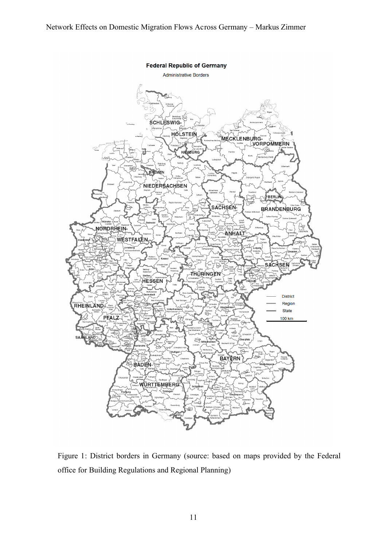

Figure 1: District borders in Germany (source: based on maps provided by the Federal office for Building Regulations and Regional Planning)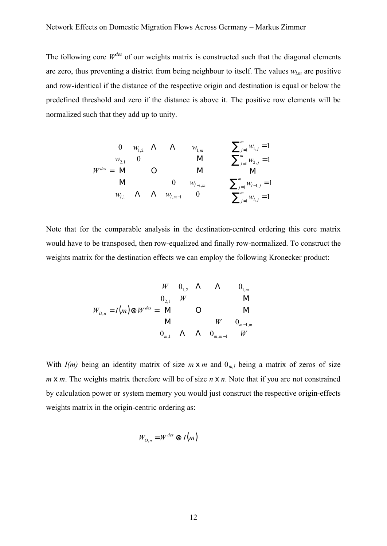The following core  $W^{des}$  of our weights matrix is constructed such that the diagonal elements are zero, thus preventing a district from being neighbour to itself. The values *wl,m* are positive and row-identical if the distance of the respective origin and destination is equal or below the predefined threshold and zero if the distance is above it. The positive row elements will be normalized such that they add up to unity.

∑ = *j* 1 ∑ ∑ ∑ = − = = − − = = = = = *m l j m j l j m j j m j j l l m l m m des w w w w w w w w w w W* , 1 1, 1 2, 1 1, ,1 , 1 1, 2,1 1,2 1, 1 1 1 1 0 0 0 0 Μ Λ Λ Μ Μ Ο Μ Μ Λ Λ

Note that for the comparable analysis in the destination-centred ordering this core matrix would have to be transposed, then row-equalized and finally row-normalized. To construct the weights matrix for the destination effects we can employ the following Kronecker product:

$$
W = 0_{1,2} \quad \Lambda \qquad \Lambda \qquad 0_{1,m}
$$
  
\n
$$
W_{D,n} = I(m) \otimes W^{des} = M \qquad \text{O} \qquad \text{M}
$$
  
\n
$$
W = 0_{m,1} \qquad \Lambda \qquad \Lambda \qquad 0_{m,m-1} \qquad W
$$
  
\n
$$
W = 0_{m,1} \qquad \Lambda \qquad \Lambda \qquad 0_{m,m-1} \qquad W
$$

With  $I(m)$  being an identity matrix of size  $m \times m$  and  $0_{m,l}$  being a matrix of zeros of size *m* **x** *m*. The weights matrix therefore will be of size *n* **x** *n*. Note that if you are not constrained by calculation power or system memory you would just construct the respective origin-effects weights matrix in the origin-centric ordering as:

$$
W_{O,n} = W^{des} \otimes I(m)
$$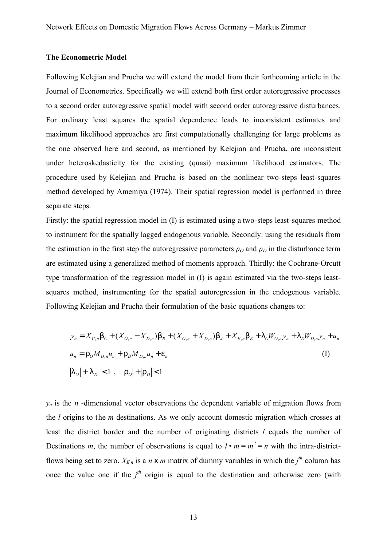## **The Econometric Model**

Following Kelejian and Prucha we will extend the model from their forthcoming article in the Journal of Econometrics. Specifically we will extend both first order autoregressive processes to a second order autoregressive spatial model with second order autoregressive disturbances. For ordinary least squares the spatial dependence leads to inconsistent estimates and maximum likelihood approaches are first computationally challenging for large problems as the one observed here and second, as mentioned by Kelejian and Prucha, are inconsistent under heteroskedasticity for the existing (quasi) maximum likelihood estimators. The procedure used by Kelejian and Prucha is based on the nonlinear two-steps least-squares method developed by Amemiya (1974). Their spatial regression model is performed in three separate steps.

Firstly: the spatial regression model in (I) is estimated using a two-steps least-squares method to instrument for the spatially lagged endogenous variable. Secondly: using the residuals from the estimation in the first step the autoregressive parameters  $\rho_0$  and  $\rho_D$  in the disturbance term are estimated using a generalized method of moments approach. Thirdly: the Cochrane-Orcutt type transformation of the regression model in (I) is again estimated via the two-steps leastsquares method, instrumenting for the spatial autoregression in the endogenous variable. Following Kelejian and Prucha their formulation of the basic equations changes to:

$$
y_n = X_{C,n} b_C + (X_{O,n} - X_{D,n}) b_R + (X_{O,n} + X_{D,n}) b_J + X_{E,n} b_E + I_O W_{O,n} y_n + I_D W_{D,n} y_n + u_n
$$
  
\n
$$
u_n = \Gamma_O M_{O,n} u_n + \Gamma_D M_{D,n} u_n + e_n
$$
\n(I)  
\n
$$
|I_O| + |I_D| < 1, \quad |\Gamma_O| + |\Gamma_D| < 1
$$

 $y_n$  is the *n* -dimensional vector observations the dependent variable of migration flows from the *l* origins to the *m* destinations. As we only account domestic migration which crosses at least the district border and the number of originating districts *l* equals the number of Destinations *m*, the number of observations is equal to  $l \cdot m = m^2 = n$  with the intra-districtflows being set to zero.  $X_{E,n}$  is a *n* **x** *m* matrix of dummy variables in which the  $j<sup>th</sup>$  column has once the value one if the  $j<sup>th</sup>$  origin is equal to the destination and otherwise zero (with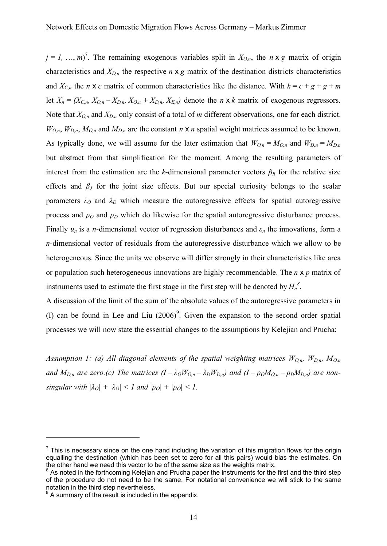$j = 1, ..., m$ <sup>7</sup>. The remaining exogenous variables split in  $X_{O,n}$ , the *n* **x** *g* matrix of origin characteristics and  $X_{D,n}$  the respective *n* **x** *g* matrix of the destination districts characteristics and  $X_{C,n}$  the *n* x *c* matrix of common characteristics like the distance. With  $k = c + g + g + m$ let  $X_n = (X_{C,n}, X_{O,n} - X_{D,n}, X_{O,n} + X_{D,n}, X_{E,n})$  denote the *n* **x** *k* matrix of exogenous regressors. Note that *XO,n* and *XD,n* only consist of a total of *m* different observations, one for each district.  $W_{O,n}$ ,  $W_{D,n}$ ,  $M_{O,n}$  and  $M_{D,n}$  are the constant *n* **x** *n* spatial weight matrices assumed to be known. As typically done, we will assume for the later estimation that  $W_{O,n} = M_{O,n}$  and  $W_{D,n} = M_{D,n}$ but abstract from that simplification for the moment. Among the resulting parameters of interest from the estimation are the *k*-dimensional parameter vectors  $\beta_R$  for the relative size effects and *β<sup>J</sup>* for the joint size effects. But our special curiosity belongs to the scalar parameters  $\lambda_O$  and  $\lambda_D$  which measure the autoregressive effects for spatial autoregressive process and  $\rho$ <sup>*O*</sup> and  $\rho$ <sup>*D*</sup> which do likewise for the spatial autoregressive disturbance process. Finally  $u_n$  is a *n*-dimensional vector of regression disturbances and  $\varepsilon_n$  the innovations, form a *n*-dimensional vector of residuals from the autoregressive disturbance which we allow to be heterogeneous. Since the units we observe will differ strongly in their characteristics like area or population such heterogeneous innovations are highly recommendable. The *n* x *p* matrix of instruments used to estimate the first stage in the first step will be denoted by  $H_n^{\delta}$ .

A discussion of the limit of the sum of the absolute values of the autoregressive parameters in (I) can be found in Lee and Liu  $(2006)^9$ . Given the expansion to the second order spatial processes we will now state the essential changes to the assumptions by Kelejian and Prucha:

*Assumption 1: (a) All diagonal elements of the spatial weighting matrices WO,n, WD,n, MO,n* and  $M_{D,n}$  are zero.(c) The matrices  $(I - \lambda_O W_{O,n} - \lambda_D W_{D,n})$  and  $(I - \rho_O M_{O,n} - \rho_D M_{D,n})$  are non*singular with*  $|\lambda_O| + |\lambda_O| < 1$  *and*  $|\rho_O| + |\rho_O| < 1$ .

 $\overline{a}$ 

 $<sup>7</sup>$  This is necessary since on the one hand including the variation of this migration flows for the origin</sup> equalling the destination (which has been set to zero for all this pairs) would bias the estimates. On the other hand we need this vector to be of the same size as the weights matrix.

<sup>&</sup>lt;sup>8</sup> As noted in the forthcoming Kelejian and Prucha paper the instruments for the first and the third step of the procedure do not need to be the same. For notational convenience we will stick to the same notation in the third step nevertheless.

 $9^9$  A summary of the result is included in the appendix.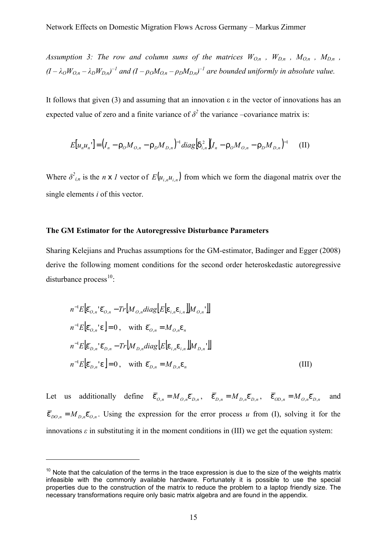*Assumption 3: The row and column sums of the matrices*  $W_{O,n}$ *,*  $W_{D,n}$ *,*  $M_{O,n}$ *,*  $M_{D,n}$ *,*  $(I - \lambda_0 W_{O,n} - \lambda_D W_{D,n})^{-1}$  and  $(I - \rho_0 M_{O,n} - \rho_D M_{D,n})^{-1}$  are bounded uniformly in absolute value.

It follows that given (3) and assuming that an innovation  $\varepsilon$  in the vector of innovations has an expected value of zero and a finite variance of  $\delta^2$  the variance –covariance matrix is:

$$
E[u_n u_n'] = (I_n - \Gamma_0 M_{O,n} - \Gamma_D M_{D,n})^{-1} diag[\mathbf{d}_{i,n}^2](I_n - \Gamma_O M_{O,n} - \Gamma_D M_{D,n})^{-1} \tag{II}
$$

Where  $\delta^2_{i,n}$  is the *n* x *l* vector of  $E(u_{i,n}u_{i,n})$  from which we form the diagonal matrix over the single elements *i* of this vector.

## **The GM Estimator for the Autoregressive Disturbance Parameters**

Sharing Kelejians and Pruchas assumptions for the GM-estimator, Badinger and Egger (2008) derive the following moment conditions for the second order heteroskedastic autoregressive disturbance process $^{10}$ :

$$
n^{-1}E\left[\overline{e}_{O,n}\right]\overline{e}_{O,n} - Tr\left[M_{O,n}diag\left[E\left[e_{i,n}e_{i,n}\right]\right]M_{O,n}\right]
$$
\n
$$
n^{-1}E\left[\overline{e}_{O,n}\right]\overline{e}_{O,n} - Tr\left[M_{O,n}diag\left[E\left[e_{i,n}e_{i,n}\right]\right]M_{O,n}\right]
$$
\n
$$
n^{-1}E\left[\overline{e}_{D,n}\right]\overline{e}_{D,n} - Tr\left[M_{D,n}diag\left[E\left[e_{i,n}e_{i,n}\right]\right]M_{D,n}\right]
$$
\n
$$
n^{-1}E\left[\overline{e}_{D,n}\right]\overline{e}_{O,n} = 0, \text{ with } \overline{e}_{D,n} = M_{D,n}e_n \tag{III}
$$

Let us additionally define  $\overline{\overline{e}}_{O,n} = M_{O,n} \overline{e}_{D,n}$ ,  $\overline{\overline{e}}_{D,n} = M_{D,n} \overline{e}_{D,n}$ ,  $\overline{\overline{e}}_{OD,n} = M_{O,n} \overline{e}_{D,n}$  and  $\bar{\epsilon}_{DO,n} = M_{D,n} \bar{\epsilon}_{O,n}$ . Using the expression for the error process *u* from (I), solving it for the innovations  $\varepsilon$  in substituting it in the moment conditions in (III) we get the equation system:

 $\overline{a}$ 

 $10$  Note that the calculation of the terms in the trace expression is due to the size of the weights matrix infeasible with the commonly available hardware. Fortunately it is possible to use the special properties due to the construction of the matrix to reduce the problem to a laptop friendly size. The necessary transformations require only basic matrix algebra and are found in the appendix.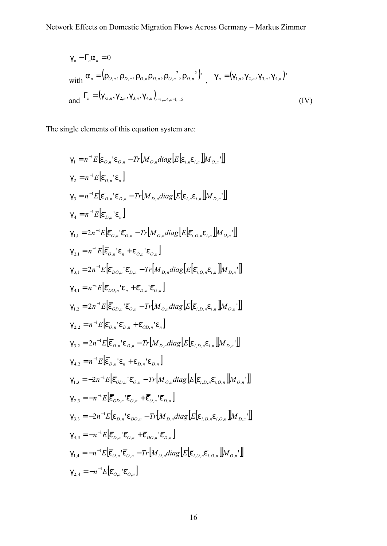$$
g_n - \Gamma_n a_n = 0
$$
  
with  $a_n = (r_{O,n}, r_{D,n}, r_{O,n} r_{D,n}, r_{O,n}^2, r_{D,n}^2)$ ,  $g_n = (g_{1,n}, g_{2,n}, g_{3,n}, g_{4,n})$ '  
and  $\Gamma_n = (g_{rs,n}, g_{2,n}, g_{3,n}, g_{4,n})_{r=1,...,4,s=1,...5}$  (IV)

The single elements of this equation system are:

$$
g_{1} = n^{-1}E[\bar{e}_{O,n} \cdot \bar{e}_{O,n} - Tr[M_{O,n}diag[E[\bar{e}_{i,n}, \bar{e}_{i,n}]]M_{O,n}]]
$$
\n
$$
g_{2} = n^{-1}E[\bar{e}_{O,n} \cdot \bar{e}_{n}]
$$
\n
$$
g_{3} = n^{-1}E[\bar{e}_{D,n} \cdot \bar{e}_{D,n} - Tr[M_{D,n}diag[E[\bar{e}_{i,n}, \bar{e}_{i,n}]]M_{D,n}]]
$$
\n
$$
g_{4} = n^{-1}E[\bar{e}_{D,n} \cdot \bar{e}_{n}]
$$
\n
$$
g_{1,1} = 2n^{-1}E[\bar{e}_{O,n} \cdot \bar{e}_{O,n} - Tr[M_{O,n}diag[E[\bar{e}_{i,O,n}e_{i,n}]]M_{O,n}]]
$$
\n
$$
g_{2,1} = n^{-1}E[\bar{e}_{O,n} \cdot \bar{e}_{n} + \bar{e}_{O,n} \cdot \bar{e}_{O,n}]
$$
\n
$$
g_{3,1} = 2n^{-1}E[\bar{e}_{DO,n} \cdot \bar{e}_{n} + \bar{e}_{O,n} \cdot \bar{e}_{O,n}]
$$
\n
$$
g_{4,1} = n^{-1}E[\bar{e}_{DO,n} \cdot \bar{e}_{n} + \bar{e}_{D,n} \cdot \bar{e}_{O,n}]
$$
\n
$$
g_{1,2} = 2n^{-1}E[\bar{e}_{OO,n} \cdot \bar{e}_{n} + \bar{e}_{O,n} \cdot \bar{e}_{O,n}]
$$
\n
$$
g_{1,2} = 2n^{-1}E[\bar{e}_{O,D,n} \cdot \bar{e}_{O,n} - Tr[M_{O,n}diag[E[\bar{e}_{i,O,n}e_{i,n}]]M_{O,n}]]
$$
\n
$$
g_{2,2} = n^{-1}E[\bar{e}_{O,n} \cdot \bar{e}_{D,n} - Tr[M_{O,n}diag[E[\bar{e}_{i,D,n}e_{i,n}]]M_{O,n}]]
$$
\n
$$
g_{3,2} = 2n^{-1}E[\bar{e}_{D,n} \cdot \bar{e}_{D,n} - Tr[M_{D,n}diag[E[\bar{e}_{i,D,n}e_{i,n}]]M_{D,n}]]
$$
\n
$$
g_{4,2} = n^{-1}E[\bar{e}_{O,n} \cdot \bar{e}_{O
$$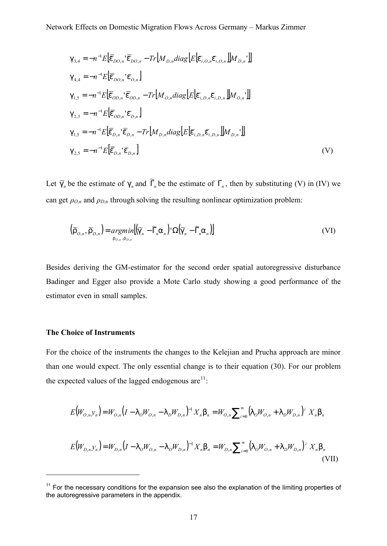$$
g_{3,4} = -n^{-1}E[\bar{e}_{DO,n} \cdot \bar{e}_{DO,n} - Tr[M_{D,n}diag[E[\bar{e}_{i, O,n}\bar{e}_{i, O,n}]]M_{D,n}]]
$$
  
\n
$$
g_{4,4} = -n^{-1}E[\bar{e}_{DO,n} \cdot \bar{e}_{O,n}]
$$
  
\n
$$
g_{1,5} = -n^{-1}E[\bar{e}_{OD,n} \cdot \bar{e}_{OD,n} - Tr[M_{O,n}diag[E[\bar{e}_{i, D,n}\bar{e}_{i, D,n}]]M_{O,n}]]
$$
  
\n
$$
g_{2,5} = -n^{-1}E[\bar{e}_{OD,n} \cdot \bar{e}_{D,n}]
$$
  
\n
$$
g_{1,5} = -n^{-1}E[\bar{e}_{D,n} \cdot \bar{e}_{D,n} - Tr[M_{D,n}diag[E[\bar{e}_{i, D,n}\bar{e}_{i, D,n}]]M_{D,n}]]
$$
  
\n
$$
g_{2,5} = -n^{-1}E[\bar{e}_{D,n} \cdot \bar{e}_{D,n} - Tr[M_{D,n}diag[E[\bar{e}_{i, D,n}\bar{e}_{i, D,n}]]M_{D,n}]]
$$
  
\n
$$
g_{2,5} = -n^{-1}E[\bar{e}_{D,n} \cdot \bar{e}_{D,n}]
$$
\n(V)

Let  $\tilde{g}_n$  be the estimate of  $g_n$  and  $\tilde{\Gamma}_n$  be the estimate of  $\Gamma_n$ , then by substituting (V) in (IV) we can get  $\rho_{O,n}$  and  $\rho_{D,n}$  through solving the resulting nonlinear optimization problem:

$$
\left(\widetilde{\Gamma}_{O,n},\widetilde{\Gamma}_{D,n}\right) = \underset{\Gamma_{O,n},\Gamma_{D,n}}{\operatorname{argmin}}\left[\left(\widetilde{\mathfrak{g}_{n}} - \widetilde{\Gamma}_{n}\mathfrak{a}_{n}\right)^{T}\Omega\left(\widetilde{\mathfrak{g}_{n}} - \widetilde{\Gamma}_{n}\mathfrak{a}_{n}\right)\right]
$$
\n
$$
\tag{VI}
$$

Besides deriving the GM-estimator for the second order spatial autoregressive disturbance Badinger and Egger also provide a Mote Carlo study showing a good performance of the estimator even in small samples.

## **The Choice of Instruments**

 $\overline{a}$ 

For the choice of the instruments the changes to the Kelejian and Prucha approach are minor than one would expect. The only essential change is to their equation (30). For our problem the expected values of the lagged endogenous  $are^{11}$ :

$$
E(W_{O,n}y_n) = W_{O,n}(I - I_oW_{O,n} - I_oW_{D,n})^{-1}X_n b_n = W_{O,n}\sum_{i=0}^{\infty} (I_oW_{O,n} + I_oW_{D,n})^i X_n b_n
$$
  

$$
E(W_{D,n}y_n) = W_{D,n}(I - I_oW_{O,n} - I_oW_{D,n})^{-1}X_n b_n = W_{D,n}\sum_{i=0}^{\infty} (I_oW_{O,n} + I_oW_{D,n})^i X_n b_n
$$

(VII)

 $11$  For the necessary conditions for the expansion see also the explanation of the limiting properties of the autoregressive parameters in the appendix.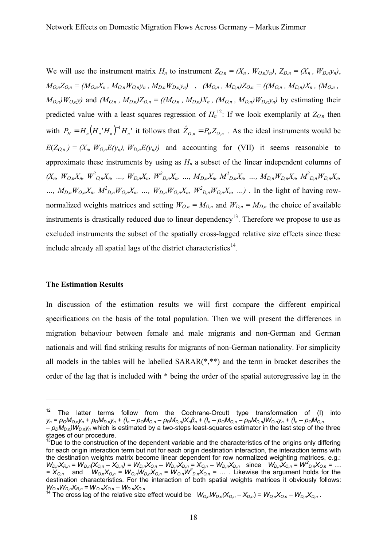We will use the instrument matrix  $H_n$  to instrument  $Z_{O,n} = (X_n, W_{O,n}y_n), Z_{D,n} = (X_n, W_{D,n}y_n),$  $M_{O,n}Z_{O,n} = (M_{O,n}X_n, M_{O,n}W_{O,n}Y_n, M_{D,n}W_{D,n}Y_n)$ ,  $(M_{O,n}, M_{D,n})Z_{O,n} = ((M_{O,n}, M_{D,n})X_n, (M_{O,n},$  $M_{D,n}/W_{O,n}$ ) and  $(M_{O,n}, M_{D,n})Z_{D,n} = ((M_{O,n}, M_{D,n})X_n, (M_{O,n}, M_{D,n})W_{D,n}Y_n)$  by estimating their predicted value with a least squares regression of  $H_n^{12}$ : If we look exemplarily at  $Z_{O,n}$  then with  $P_H = H_n (H_n H_n)^{-1} H_n$  it follows that  $\hat{Z}_{O,n} = P_H Z_{O,n}$ . As the ideal instruments would be  $E(Z_{O,n}) = (X_n, W_{O,n}E(y_n), W_{D,n}E(y_n))$  and accounting for (VII) it seems reasonable to approximate these instruments by using as  $H_n$  a subset of the linear independent columns of  $(X_n, W_{O,n}X_n, W^2_{O,n}X_n, ..., W_{D,n}X_n, W^2_{D,n}X_n, ..., M_{D,n}X_n, M^2_{D,n}X_n, ..., M_{D,n}W_{D,n}X_n, M^2_{D,n}W_{D,n}X_n,$ ...,  $M_{D,n}W_{O,n}X_n$ ,  $M_{D,n}^2W_{O,n}X_n$ , ...,  $W_{D,n}W_{O,n}X_n$ ,  $W_{D,n}^2W_{O,n}X_n$ , ...). In the light of having rownormalized weights matrices and setting  $W_{O,n} = M_{O,n}$  and  $W_{D,n} = M_{D,n}$  the choice of available instruments is drastically reduced due to linear dependency<sup>13</sup>. Therefore we propose to use as excluded instruments the subset of the spatially cross-lagged relative size effects since these include already all spatial lags of the district characteristics<sup>14</sup>.

#### **The Estimation Results**

 $\overline{a}$ 

In discussion of the estimation results we will first compare the different empirical specifications on the basis of the total population. Then we will present the differences in migration behaviour between female and male migrants and non-German and German nationals and will find striking results for migrants of non-German nationality. For simplicity all models in the tables will be labelled SARAR(\*,\*\*) and the term in bracket describes the order of the lag that is included with \* being the order of the spatial autoregressive lag in the

<sup>&</sup>lt;sup>12</sup> The latter terms follow from the Cochrane-Orcutt type transformation of (I) into  $y_n = \rho_O M_{O,n} y_n + \rho_D M_{D,n} y_n + (I_n - \rho_O M_{O,n} - \rho_D M_{D,n}) X_n \beta_n + (I_n - \rho_O M_{O,n} - \rho_D M_{D,n}) W_{O,n} y_n + (I_n - \rho_O M_{O,n} - \rho_O M_{O,n})$ *– ρDMD,n)WD,ny<sup>n</sup>* which is estimated by a two-steps least-squares estimator in the last step of the three stages of our procedure.

<sup>&</sup>lt;sup>13</sup>Due to the construction of the dependent variable and the characteristics of the origins only differing for each origin interaction term but not for each origin destination interaction, the interaction terms with the destination weights matrix become linear dependent for row normalized weighting matrices, e.g.:  $W_{D,n}X_{R,n} = W_{D,n}(X_{O,n} - X_{D,n}) = W_{D,n}X_{O,n} - W_{D,n}X_{D,n} = X_{O,n} - W_{D,n}X_{D,n}$  since  $W_{D,n}X_{O,n} = W_{D,n}^2X_{O,n} = ...$  $=\overline{X}_{0,n}$  and  $W_{0,n}X_{0,n} = W_{0,n}W_{0,n}X_{0,n} = W_{0,n}W_{0,n}X_{0,n} = ...$ . Likewise the argument holds for the destination characteristics. For the interaction of both spatial weights matrices it obviously follows: *WO,nWD,nXR,n = WO,nXO,n – WD,nXD,n*

<sup>&</sup>lt;sup>14</sup> The cross lag of the relative size effect would be  $W_{O,n}W_{D,n}(X_{O,n}-X_{D,n})=W_{O,n}X_{O,n}-W_{D,n}X_{D,n}$ .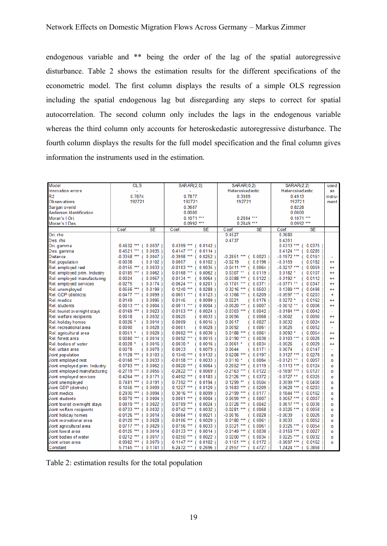endogenous variable and \*\* being the order of the lag of the spatial autoregressive disturbance. Table 2 shows the estimation results for the different specifications of the econometric model. The first column displays the results of a simple OLS regression including the spatial endogenous lag but disregarding any steps to correct for spatial autocorrelation. The second column only includes the lags in the endogenous variable whereas the third column only accounts for heteroskedastic autoregressive disturbance. The fourth column displays the results for the full model specification and the final column gives information the instruments used in the estimation.

| Model                         | <b>OLS</b>                                | SARAR(2,0)                  | SARAR(0,2)                  | <b>SARAR(2,2)</b>           | used        |
|-------------------------------|-------------------------------------------|-----------------------------|-----------------------------|-----------------------------|-------------|
| Innovation errors             |                                           |                             | Heteroskedastic             | Heteroskedastic             | as          |
| R2                            | 0.7874                                    | 0.7877                      | 0.3989                      | 0.4913                      | instru-     |
| Observations                  | 192721                                    | 192721                      | 192721                      | 192721                      | ment        |
| Sargan overid                 |                                           | 0.3607                      |                             | 0.8228                      |             |
| Anderson Identification       | 0.0000                                    |                             |                             | 0.0000                      |             |
| Moran's I Ori.                |                                           | $0.1071***$                 | $0.2884***$                 | $0.1071***$                 |             |
| Moran's I Des                 |                                           | $0.0992$ ***                | $0.2849***$                 | $0.0992$ ***                |             |
|                               | <b>SE</b><br>Coef.                        | Coef.<br><b>SE</b>          | <b>SE</b><br>Coef.          | Coef.<br><b>SE</b>          |             |
| Ori, rho                      |                                           |                             | 0.4527                      | 0.3680                      |             |
| Des. rho                      |                                           |                             | 0.4737                      | 0.4351                      |             |
| Ori. gamma                    | $0.4632$ ***<br>$0.0037$ )                | $0.4399$ ***<br>$0.0142$ )  |                             | $0.4313***$ (<br>0.0375     |             |
| Des. gamma                    | $0.4521***$<br>$0.0035$ )<br>f.           | $0.4147$ ***<br>$0.0114$ )  |                             | $0.4124$ ***<br>$0.0285$ )  |             |
| Distance                      | $-0.3358$ ***<br>$0.0047$ )               | $-0.3998$ ***<br>$0.0252$ ) | $-0.2851***$<br>0.0023      | $-0.1972$ ***<br>0.0161     |             |
| Rel. population               | $-0.0038$<br>$0.0102$ )                   | 0.0007<br>$0.0102$ )        | $-0.0219$<br>$0.0196$ )     | $-0.0159$<br>0.0182         | $^{\rm ++}$ |
| Rel. employed rest            | $-0.0155$ ***<br>$0.0033$ )               | $-0.0183$ ***<br>$0.0035$ ) | $-0.0411$ ***<br>0.0064     | $-0.0217$ ***<br>0.0059     | $^{++}$     |
| Rel. employed prim. Industry  | $0.0185$ ***<br>$0.0062$ )                | $0.0168$ ***<br>$0.0062$ )  | $0.0307$ **<br>$0.0119$ )   | $0.0182 *$<br>$0.0107$ )    | $^{++}$     |
| Rel. employed manufacturing   | $-0.0024$<br>$0.0057$ )                   | $-0.0134$ **<br>$0.0064$ )  | $-0.0388***$<br>0.0122      | $-0.0192$ *<br>$0.0112$ )   | $^{++}$     |
| Rel. employed services        | $-0.0275$<br>0.0174)                      | $-0.0624$ ***<br>$0.0201$ ) | $-0.1701$ ***<br>0.0371     | $-0.0771**$<br>0.0347)      | $^{++}$     |
| Rel. unemployed               | $0.0556$ ***<br>$0.0199$ )                | $0.1240***$<br>$0.0288$ )   | $0.3216$ ***<br>$0.0503$ )  | 0.0498<br>$0.1389$ ***      | $^{+}$      |
| Rel. GDP (districts)          | $-0.0477$ ***<br>$0.0099$ )               | $-0.0651***$<br>$0.0123$ )  | $-0.1368$ ***<br>0.0209     | $-0.0597$ ***<br>$0.0203$ ) | ÷           |
| Rel. medics                   | 0.0149<br>$0.0095$ )                      | 0.0145<br>$0.0099$ )        | 0.0221<br>$0.0176$ )        | $0.0272*$<br>$0.0162$ )     | $^{++}$     |
| Rel. students                 | $-0.0013$ ***<br>$0.0004$ )               | $-0.0011$ ***<br>$0.0004$ ) | $-0.0020$ ***<br>$0.0007$ ) | $-0.0012**$<br>$0.0006$ )   | $^{++}$     |
| Rel. tourist overnight stays  | $-0.0169$ ***<br>$0.0023$ )               | $-0.0153$ ***<br>$0.0024$ ) | $-0.0303$ ***<br>$0.0042$ ) | $-0.0184$ ***<br>$0.0042$ ) |             |
| Rel. welfare recipients       | 0.0018<br>$0.0032$ )                      | 0.0025<br>$0.0033$ )        | 0.0056<br>$0.0068$ )        | $-0.0002$<br>$0.0060$ )     | $++$        |
| Rel. holiday homes            | $0.0026$ *<br>$0.0014$ )                  | 0.0009<br>$0.0015$ )        | 0.0017<br>$0.0027$ )        | 0.0032<br>$0.0024$ )        | $^{++}$     |
| Rel. recreational area        | 0.0000<br>$0.0028$ )                      | $-0.0001$<br>$0.0028$ )     | 0.0092<br>$0.0061$ )        | 0.0026<br>$0.0052$ )        |             |
| Rel. agricultural area        | $0.0051$ *<br>$0.0029$ )                  | $0.0082$ ***<br>$0.0030$ )  | $0.0188***$<br>$0.0061$ )   | $0.0092*$<br>0.0054         | $++$        |
| Rel. forest area              | $0.0080***$<br>$0.0014$ )                 | $0.0092$ ***<br>$0.0015$ )  | $0.0190***$<br>0.0030       | $0.0103***$<br>$0.0026$ )   | $++$        |
| Rel. bodies of water          | $-0.0028$ *<br>$0.0016$ )                 | $-0.0030$ *<br>$0.0016$ )   | $-0.0061$ *<br>0.0034       | $-0.0026$<br>$0.0029$ )     | $++$        |
| Rel. urban area               | 0.0078<br>$0.0078$ )                      | 0.0033<br>$0.0079$ )        | 0.0044<br>$0.0171$ )        | 0.0074<br>$0.0147$ )        |             |
| Joint population              | $0.1128$ ***<br>$0.0103$ )                | $0.1340***$<br>$0.0132$ )   | $0.6208***$<br>$0.0197$ )   | $0.3127***$<br>0.0278       | o           |
| Joint employed rest           | $-0.0168$ ***<br>$0.0033$ )               | $-0.0158$ ***<br>$0.0033$ ) | $0.0110$ *<br>0.0064        | $-0.0121**$<br>0.0057       | o           |
| Joint employed prim. Industry | $-0.0783$ ***<br>$0.0062$ )               | $-0.0820$ ***<br>$0.0064$ ) | $-0.2052$ ***<br>0.0119     | $-0.1113$ ***<br>0.0124     | o           |
| Joint employed manufacturing  | $-0.2719$ ***<br>$0.0056$ )<br>$\epsilon$ | $-0.2822$ ***<br>$0.0069$ ) | $-0.2163$ ***<br>0.0122     | $-0.1897$ ***<br>0.0127     | o           |
| Joint employed services       | $-0.4264$ ***<br>0.0171)                  | $-0.4092$ ***<br>$0.0183$ ) | $0.2126$ ***<br>0.0372      | $-0.0727$ **<br>0.0325      | o           |
| Joint unemployed              | $0.7481***$<br>0.0191)                    | $0.7392$ ***<br>$0.0194$ )  | $0.1299**$<br>$0.0504$ )    | $0.3599***$<br>0.0400       | $\circ$     |
| Joint GDP (districts)         | $0.1056***$<br>$0.0099$ )                 | $0.1227***$<br>$0.0120$ )   | $0.1683***$<br>$0.0209$ )   | $0.0628$ ***<br>$0.0203$ )  | o           |
| Joint medics                  | $0.2930$ ***<br>$0.0094$ )                | $0.3016$ ***<br>$0.0099$ )  | $0.2199$ ***<br>$0.0177$ )  | $0.1844***$<br>0.0162       | o           |
| Joint students                | $0.0079$ ***<br>$0.0004$ )                | $0.0081***$<br>$0.0004$ )   | $0.0099***$<br>$0.0007$ )   | $0.0057$ ***<br>0.0007      | o           |
| Joint tourist overnight stays | $0.0819$ ***<br>$0.0022$ )                | $0.0789***$<br>$0.0024$ )   | $0.0728$ ***<br>$0.0042$ )  | $0.0617$ ***<br>0.0038      | o           |
| Joint welfare recipients      | $-0.0733$ ***<br>$0.0032$ )               | $-0.0742$ ***<br>0.0032)    | $-0.0281$ ***<br>0.0068     | $-0.0326$ ***<br>$0.0058$ ) | o           |
| Joint holiday homes           | $-0.0126$ ***<br>$0.0014$ )               | $-0.0084$ ***<br>$0.0021$ ) | $-0.0016$<br>$0.0028$ )     | $-0.0039$<br>$0.0026$ )     | o           |
| Joint recreational area       | $-0.0120$ ***<br>$0.0028$ )               | $-0.0106$ ***<br>$0.0029$ ) | $0.0180***$<br>$0.0061$ )   | 0.0033<br>0.0052            | o           |
| Joint agricultural area       | $0.0717***$<br>$0.0029$ )                 | $0.0756$ ***<br>$0.0033$ )  | $0.0321***$<br>$0.0061$ )   | $0.0326$ ***<br>0.0054      | o           |
| Joint forest area             | $-0.0125$ ***<br>$0.0014$ )               | $-0.0133$ ***<br>$0.0014$ ) | $-0.0149$ ***<br>0.0030     | $-0.0159$ ***<br>0.0027     | o           |
| Joint bodies of water         | $0.0212$ ***<br>$0.0017$ )                | $0.0250$ ***<br>$0.0022$ )  | $0.0200***$<br>0.0034)      | $0.0225$ ***<br>0.0032      | $\circ$     |
| Joint urban area              | $-0.0982$ ***<br>$0.0079$ )               | $-0.1147$ ***<br>$0.0102$ ) | $-0.1151$ ***<br>0.0172     | $-0.0697$ ***<br>0.0162     | o           |
| Constant                      | 5.7145 ***<br>$0.1741$ )                  | 6.2472 ***<br>0.2696)       | 2.0957 ***<br>0.4727        | 1.2424 ***<br>0.3868        |             |

Table 2: estimation results for the total population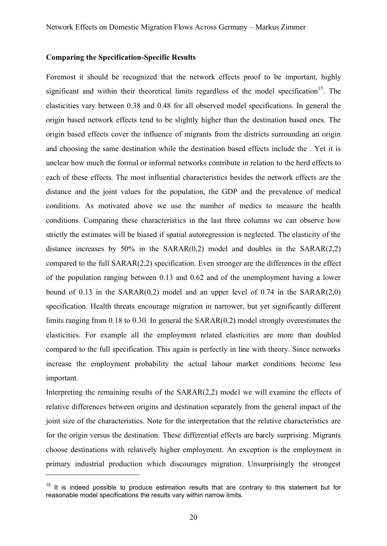#### **Comparing the Specification-Specific Results**

Foremost it should be recognized that the network effects proof to be important, highly significant and within their theoretical limits regardless of the model specification<sup>15</sup>. The elasticities vary between 0.38 and 0.48 for all observed model specifications. In general the origin based network effects tend to be slightly higher than the destination based ones. The origin based effects cover the influence of migrants from the districts surrounding an origin and choosing the same destination while the destination based effects include the . Yet it is unclear how much the formal or informal networks contribute in relation to the herd effects to each of these effects. The most influential characteristics besides the network effects are the distance and the joint values for the population, the GDP and the prevalence of medical conditions. As motivated above we use the number of medics to measure the health conditions. Comparing these characteristics in the last three columns we can observe how strictly the estimates will be biased if spatial autoregression is neglected. The elasticity of the distance increases by  $50\%$  in the SARAR(0,2) model and doubles in the SARAR(2,2) compared to the full SARAR(2,2) specification. Even stronger are the differences in the effect of the population ranging between 0.13 and 0.62 and of the unemployment having a lower bound of 0.13 in the  $SARAR(0,2)$  model and an upper level of 0.74 in the  $SARAR(2,0)$ specification. Health threats encourage migration in narrower, but yet significantly different limits ranging from 0.18 to 0.30. In general the SARAR(0,2) model strongly overestimates the elasticities. For example all the employment related elasticities are more than doubled compared to the full specification. This again is perfectly in line with theory. Since networks increase the employment probability the actual labour market conditions become less important.

Interpreting the remaining results of the SARAR(2,2) model we will examine the effects of relative differences between origins and destination separately from the general impact of the joint size of the characteristics. Note for the interpretation that the relative characteristics are for the origin versus the destination. These differential effects are barely surprising. Migrants choose destinations with relatively higher employment. An exception is the employment in primary industrial production which discourages migration. Unsurprisingly the strongest

 $\overline{a}$ 

 $15$  It is indeed possible to produce estimation results that are contrary to this statement but for reasonable model specifications the results vary within narrow limits.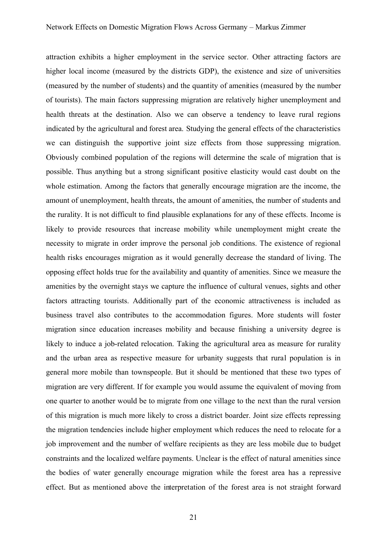attraction exhibits a higher employment in the service sector. Other attracting factors are higher local income (measured by the districts GDP), the existence and size of universities (measured by the number of students) and the quantity of amenities (measured by the number of tourists). The main factors suppressing migration are relatively higher unemployment and health threats at the destination. Also we can observe a tendency to leave rural regions indicated by the agricultural and forest area. Studying the general effects of the characteristics we can distinguish the supportive joint size effects from those suppressing migration. Obviously combined population of the regions will determine the scale of migration that is possible. Thus anything but a strong significant positive elasticity would cast doubt on the whole estimation. Among the factors that generally encourage migration are the income, the amount of unemployment, health threats, the amount of amenities, the number of students and the rurality. It is not difficult to find plausible explanations for any of these effects. Income is likely to provide resources that increase mobility while unemployment might create the necessity to migrate in order improve the personal job conditions. The existence of regional health risks encourages migration as it would generally decrease the standard of living. The opposing effect holds true for the availability and quantity of amenities. Since we measure the amenities by the overnight stays we capture the influence of cultural venues, sights and other factors attracting tourists. Additionally part of the economic attractiveness is included as business travel also contributes to the accommodation figures. More students will foster migration since education increases mobility and because finishing a university degree is likely to induce a job-related relocation. Taking the agricultural area as measure for rurality and the urban area as respective measure for urbanity suggests that rural population is in general more mobile than townspeople. But it should be mentioned that these two types of migration are very different. If for example you would assume the equivalent of moving from one quarter to another would be to migrate from one village to the next than the rural version of this migration is much more likely to cross a district boarder. Joint size effects repressing the migration tendencies include higher employment which reduces the need to relocate for a job improvement and the number of welfare recipients as they are less mobile due to budget constraints and the localized welfare payments. Unclear is the effect of natural amenities since the bodies of water generally encourage migration while the forest area has a repressive effect. But as mentioned above the interpretation of the forest area is not straight forward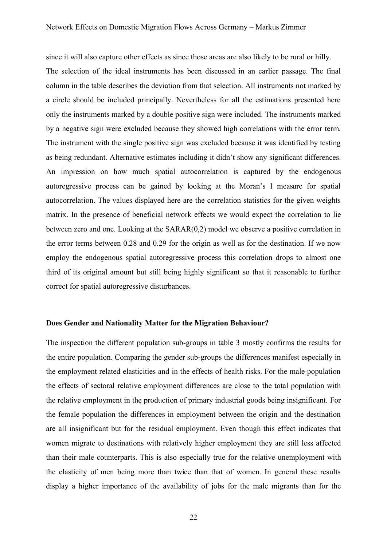since it will also capture other effects as since those areas are also likely to be rural or hilly.

The selection of the ideal instruments has been discussed in an earlier passage. The final column in the table describes the deviation from that selection. All instruments not marked by a circle should be included principally. Nevertheless for all the estimations presented here only the instruments marked by a double positive sign were included. The instruments marked by a negative sign were excluded because they showed high correlations with the error term. The instrument with the single positive sign was excluded because it was identified by testing as being redundant. Alternative estimates including it didn't show any significant differences. An impression on how much spatial autocorrelation is captured by the endogenous autoregressive process can be gained by looking at the Moran's I measure for spatial autocorrelation. The values displayed here are the correlation statistics for the given weights matrix. In the presence of beneficial network effects we would expect the correlation to lie between zero and one. Looking at the SARAR(0,2) model we observe a positive correlation in the error terms between 0.28 and 0.29 for the origin as well as for the destination. If we now employ the endogenous spatial autoregressive process this correlation drops to almost one third of its original amount but still being highly significant so that it reasonable to further correct for spatial autoregressive disturbances.

## **Does Gender and Nationality Matter for the Migration Behaviour?**

The inspection the different population sub-groups in table 3 mostly confirms the results for the entire population. Comparing the gender sub-groups the differences manifest especially in the employment related elasticities and in the effects of health risks. For the male population the effects of sectoral relative employment differences are close to the total population with the relative employment in the production of primary industrial goods being insignificant. For the female population the differences in employment between the origin and the destination are all insignificant but for the residual employment. Even though this effect indicates that women migrate to destinations with relatively higher employment they are still less affected than their male counterparts. This is also especially true for the relative unemployment with the elasticity of men being more than twice than that of women. In general these results display a higher importance of the availability of jobs for the male migrants than for the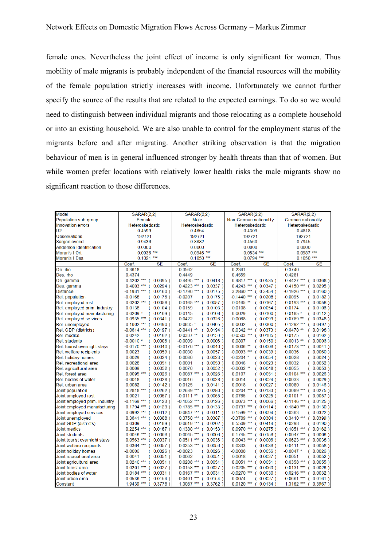female ones. Nevertheless the joint effect of income is only significant for women. Thus mobility of male migrants is probably independent of the financial resources will the mobility of the female population strictly increases with income. Unfortunately we cannot further specify the source of the results that are related to the expected earnings. To do so we would need to distinguish between individual migrants and those relocating as a complete household or into an existing household. We are also unable to control for the employment status of the migrants before and after migrating. Another striking observation is that the migration behaviour of men is in general influenced stronger by health threats than that of women. But while women prefer locations with relatively lower health risks the male migrants show no significant reaction to those differences.

| Model                          | <b>SARAR(2,2)</b>                    | <b>SARAR(2,2)</b>         | <b>SARAR(2,2)</b>                 | <b>SARAR(2,2)</b>                         |
|--------------------------------|--------------------------------------|---------------------------|-----------------------------------|-------------------------------------------|
| Population sub-group           | Female                               | Male                      | Non-German nationality            | German nationality                        |
| <b>Innovation errors</b>       | Heteroskedastic                      | Heteroskedastic           | Heteroskedastic                   | Heteroskedastic                           |
| R <sub>2</sub>                 | 0.4599                               | 0.4654                    | 0.4309                            | 0.4818                                    |
| <b>Observations</b>            | 192721                               | 192721                    | 192721                            | 192721                                    |
| Sargan overid                  | 0.9436                               | 0.8682                    | 0.4560                            | 0.7945                                    |
| <b>Anderson Identification</b> | 0.0000                               | 0.0000                    | 0.0000                            | 0.0000                                    |
| Moran's I Ori.                 | $0.0936$ ***                         | $0.0946$ ***              | $0.0534$ ***                      | $0.0987***$                               |
| Moran's I Des.                 | $0.1021$ ***                         | $0.1050$ ***              | $0.0794$ ***                      | $0.1050$ ***                              |
|                                | Coef.<br><b>SE</b>                   | Coef.<br><b>SE</b>        | Coef.<br><b>SE</b>                | Coef.<br>SE                               |
| Ori. mo                        | 0.3618                               | 0.3562                    | 0.2361                            | 0.3740                                    |
| Des. rho                       | 0.4374                               | 0.4449                    | 0.4559                            | 0.4281                                    |
| Ori. gamma                     | $0.4202$ *** ( 0.0395 )              | $0.4495$ *** (0.0418)     | $0.4817$ *** ( 0.0535 )           | $0.4427$ *** ( 0.0368 )                   |
| Des. gamma                     | $0.4003$ *** ( 0.0294)               | $0.4223$ *** ( 0.0337 )   | $0.4243$ *** ( $0.0347$ )         | $0.4150***$ (<br>$0.0295$ )               |
| <b>Distance</b>                | $-0.1931$ *** ( 0.0160 )             | $-0.1790$ ***<br>(0.0175) | 3.2860 ***<br>(0.3454)            | $-0.1926$ *** (<br>$0.0160$ )             |
| <b>Rel.</b> population         | $-0.0168$<br>(0.0176)                | $-0.0207$<br>(0.0175)     | $-0.1440$ *** (0.0208)            | $-0.0095$<br>(0.0182)                     |
| Rel. employed rest             | $-0.0202$ *** (0.0058)               | $-0.0165$ ***<br>(0.0057) | $-0.0465$ **<br>(0.0167)          | $-0.0193$ ***<br>$0.0058$ )<br>$\epsilon$ |
| Rel. employed prim. Industry   | 0.0138<br>(0.0104)                   | 0.0159<br>(0.0103)        | $-0.0108$<br>(0.0054)             | 0.0174<br>$0.0106$ )<br>0                 |
| Rel. employed manufacturing    | $-0.0209$ *<br>(0.0109)              | $-0.0145$<br>(0.0108)     | 0.0029<br>(0.0100)                | $-0.0185$ *<br>$0.0112$ )<br>0            |
| Rel. employed services         | $-0.0935$ *** (0.0341)               | $-0.0422$<br>(0.0326)     | $-0.0068$<br>(0.0099)             | $-0.0789$ **<br>$0.0348$ )<br>6           |
| Rel. unemployed                | $0.1602$ *** ( $0.0490$ )            | $0.0835*$<br>(0.0465)     | 0.0032<br>(0.0300)                | $0.1292$ ***<br>$0.0497$ )<br>$\epsilon$  |
| Rel. GDP (districts)           | $-0.0614$ *** (0.0197)               | $-0.0441$ **<br>(0.0194)  | $0.0342$ ***<br>(0.0373)          | $-0.0478$ **<br>$0.0198$ )<br>$\epsilon$  |
| <b>Rel.</b> medics             | 0.0242<br>$0.0162$ )<br><sup>-</sup> | $0.0337**$<br>(0.0153)    | $-0.0503$ ***<br>(0.0185)         | 0.0175<br>$0.0162$ )<br>6                 |
| <b>Rel.</b> students           | $-0.0010*$<br>(0.0006)               | $-0.0009$<br>(0.0006)     | 0.0807<br>(0.0150)                | $-0.0013$ **<br>$0.0006$ )<br>C           |
| Rel. tourist overnight stays   | $-0.0170$ *** (0.0040)               | $-0.0170$ ***<br>(0.0040) | $0.0006$ **<br>(0.0006)           | $-0.0173$ ***<br>$0.0041$ )<br>$\epsilon$ |
| Rel. welfare recipients        | 0.0023<br>(0.0059)                   | $-0.0030$<br>(0.0057)     | $-0.0093$ *** (0.0039)            | 0.0036<br>$0.0060$ )<br>C                 |
| Rel. holiday homes             | 0.0029<br>(0.0024)                   | 0.0030<br>(0.0023)        | $-0.0204$ *<br>(0.0054)           | 0.0028<br>$0.0024$ )<br>6                 |
| Rel. recreational area         | 0.0028<br>(0.0051)                   | 0.0001<br>(0.0050)        | 0.0046<br>(0.0023)                | 0.0032<br>(0.0052)                        |
| Rel. agricultural area         | 0.0069<br>(0.0052)                   | 0.0070<br>(0.0052)        | $-0.0032$ **<br>$0.0048$ )<br>€   | 0.0055<br>(0.0053)                        |
| Rel. forest area               | $0.0095$ *** ( 0.0026 )              | $0.0087$ ***<br>(0.0026)  | 0.0107<br>(0.0051)                | $0.0104$ ***<br>$0.0026$ )<br>$\left($    |
| Rel. bodies of water           | $-0.0018$<br>(0.0028)                | $-0.0016$<br>(0.0028)     | 0.0014<br>(0.0024)                | $-0.0033$<br>$0.0029$ )<br>0              |
| Rel. urban area                | 0.0082<br>(0.0142)                   | 0.0125<br>(0.0141)        | 0.0018<br>(0.0027)                | 0.0080<br>$0.0146$ )<br>0                 |
| Joint population               | $0.2818***$ ( $0.0262$ )             | $0.2639$ ***<br>(0.0280)  | $0.0204$ ***<br>(0.0133)          | $0.3089$ *** (<br>$0.0275$ )              |
| Joint employed rest            | 0.0021<br>(0.0057)                   | $-0.0111$ **<br>(0.0055)  | 0.0765<br>(0.0225)                | $-0.0101$ *<br>(0.0057)                   |
| Joint employed prim. Industry  | $-0.1169$ *** (0.0123)               | $-0.1052$ ***<br>(0.0126) | $0.0073$ ***<br>(0.0066)          | $-0.1146$ *** (<br>$0.0125$ )             |
| Joint employed manufacturing   | $-0.1794$ *** (0.0123)               | $-0.1785$ *** (0.0133)    | $-0.0797$ *** (0.0114)            | $-0.1840$ *** (<br>$0.0130$ )             |
| Joint employed services        | $-0.0992$ *** ( 0.0312 )             | $-0.0847$ ***<br>(0.0311) | $-0.1599$ ***<br>$0.0094$ )<br>€  | $-0.0363$<br>$0.0322$ )<br>$\overline{C}$ |
| Joint unemployed               | $0.3641$ *** ( $0.0388$ )            | $0.3758$ *** ( 0.0387 )   | $-0.3709$ *** (0.0304)            | $0.3410***$ (<br>$0.0399$ )               |
| Joint GDP (districts)          | 0.0309<br>$0.0189$ )<br><sup>-</sup> | $0.0619$ ***<br>(0.0202)  | $0.5509$ ***<br>$0.0414$ )<br>- 6 | 0.0298<br>0.0190)<br>€                    |
| <b>Joint medics</b>            | $0.2254$ *** ( 0.0167 )              | $0.1388$ *** ( 0.0153 )   | $0.0970$ *** ( 0.0275 )           | $0.1851***$ (<br>$0.0162$ )               |
| Joint students                 | $0.0046$ *** ( $0.0006$ )            | $0.0045$ *** (0.0006)     | $0.1745$ ***<br>(0.0156)          | $0.0047$ *** (<br>$0.0006$ )              |
| Joint tourist ovemight stays   | $0.0563$ *** ( 0.0037 )              | $0.0511***$ ( $0.0036$ )  | $0.0043$ *** ( 0.0006 )           | $0.0623$ *** (<br>$0.0038$ )              |
| Joint welfare recipients       | $-0.0364$ *** (0.0057)               | $-0.0253$ ***<br>(0.0056) | 0.0333<br>(0.0036)                | $-0.0411$ *** (<br>$0.0058$ )             |
| Joint holiday homes            | $-0.0006$<br>(0.0026)                | $-0.0023$<br>(0.0026)     | $-0.0008$<br>(0.0056)             | $-0.0047$ *<br>$0.0026$ )<br>C            |
| Joint recreational area        | 0.0041<br>(0.0051)                   | 0.0062<br>(0.0051)        | $-0.0018$<br>(0.0027)             | 0.0051<br>$0.0052$ )<br>C                 |
| Joint agricultural area        | $0.0240$ *** ( 0.0051 )              | $0.0208$ *** ( 0.0051 )   | $0.0051$ *** ( 0.0051 )           | $0.0358***$ (<br>$0.0055$ )               |
| Joint forest area              | $-0.0201$ *** (0.0027)               | $-0.0158$ *** (0.0027)    | $-0.0205$ ***<br>(0.0063)         | $-0.0131$ *** (<br>$0.0026$ )             |
| Joint bodies of water          | $0.0184$ *** ( $0.0031$ )            | $0.0167$ *** ( 0.0031 )   | $-0.0270$ ***<br>(0.0030)         | $0.0216$ *** (<br>$0.0032$ )              |
| Joint urban area               | $-0.0536$ *** (0.0154)               | $-0.0401$ ***<br>(0.0154) | 0.0074<br>(0.0027)                | $-0.0661$ *** (<br>$0.0161$ )             |
| Constant                       | $1.9439***$ ( 0.3778 )               | $1.3087***$<br>(0.3762)   | $0.0120$ ***<br>0.0134)<br>(      | $1.3162$ *** (<br>$0.3967$ )              |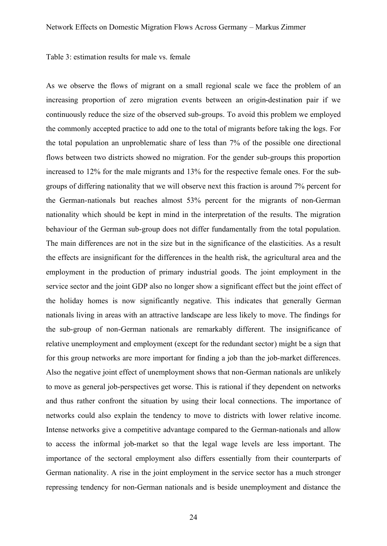Table 3: estimation results for male vs. female

As we observe the flows of migrant on a small regional scale we face the problem of an increasing proportion of zero migration events between an origin-destination pair if we continuously reduce the size of the observed sub-groups. To avoid this problem we employed the commonly accepted practice to add one to the total of migrants before taking the logs. For the total population an unproblematic share of less than 7% of the possible one directional flows between two districts showed no migration. For the gender sub-groups this proportion increased to 12% for the male migrants and 13% for the respective female ones. For the subgroups of differing nationality that we will observe next this fraction is around 7% percent for the German-nationals but reaches almost 53% percent for the migrants of non-German nationality which should be kept in mind in the interpretation of the results. The migration behaviour of the German sub-group does not differ fundamentally from the total population. The main differences are not in the size but in the significance of the elasticities. As a result the effects are insignificant for the differences in the health risk, the agricultural area and the employment in the production of primary industrial goods. The joint employment in the service sector and the joint GDP also no longer show a significant effect but the joint effect of the holiday homes is now significantly negative. This indicates that generally German nationals living in areas with an attractive landscape are less likely to move. The findings for the sub-group of non-German nationals are remarkably different. The insignificance of relative unemployment and employment (except for the redundant sector) might be a sign that for this group networks are more important for finding a job than the job-market differences. Also the negative joint effect of unemployment shows that non-German nationals are unlikely to move as general job-perspectives get worse. This is rational if they dependent on networks and thus rather confront the situation by using their local connections. The importance of networks could also explain the tendency to move to districts with lower relative income. Intense networks give a competitive advantage compared to the German-nationals and allow to access the informal job-market so that the legal wage levels are less important. The importance of the sectoral employment also differs essentially from their counterparts of German nationality. A rise in the joint employment in the service sector has a much stronger repressing tendency for non-German nationals and is beside unemployment and distance the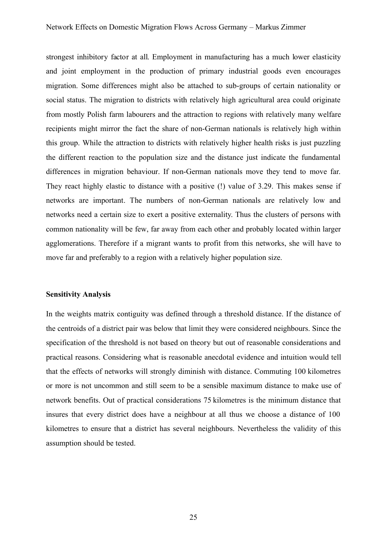strongest inhibitory factor at all. Employment in manufacturing has a much lower elasticity and joint employment in the production of primary industrial goods even encourages migration. Some differences might also be attached to sub-groups of certain nationality or social status. The migration to districts with relatively high agricultural area could originate from mostly Polish farm labourers and the attraction to regions with relatively many welfare recipients might mirror the fact the share of non-German nationals is relatively high within this group. While the attraction to districts with relatively higher health risks is just puzzling the different reaction to the population size and the distance just indicate the fundamental differences in migration behaviour. If non-German nationals move they tend to move far. They react highly elastic to distance with a positive (!) value of 3.29. This makes sense if networks are important. The numbers of non-German nationals are relatively low and networks need a certain size to exert a positive externality. Thus the clusters of persons with common nationality will be few, far away from each other and probably located within larger agglomerations. Therefore if a migrant wants to profit from this networks, she will have to move far and preferably to a region with a relatively higher population size.

## **Sensitivity Analysis**

In the weights matrix contiguity was defined through a threshold distance. If the distance of the centroids of a district pair was below that limit they were considered neighbours. Since the specification of the threshold is not based on theory but out of reasonable considerations and practical reasons. Considering what is reasonable anecdotal evidence and intuition would tell that the effects of networks will strongly diminish with distance. Commuting 100 kilometres or more is not uncommon and still seem to be a sensible maximum distance to make use of network benefits. Out of practical considerations 75 kilometres is the minimum distance that insures that every district does have a neighbour at all thus we choose a distance of 100 kilometres to ensure that a district has several neighbours. Nevertheless the validity of this assumption should be tested.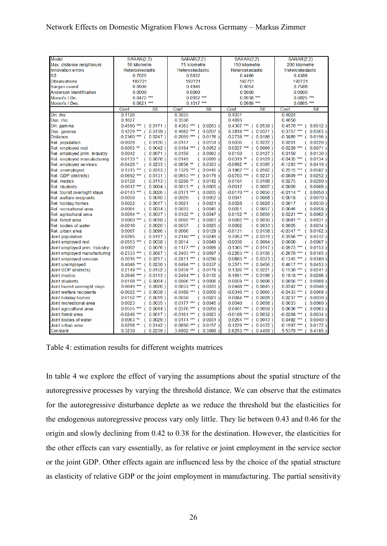| <b>Model</b>                   | <b>SARAR(2.2)</b>                     | <b>SARAR(2,2)</b>        | <b>SARAR(2,2)</b>         | <b>SARAR(2.2)</b>                    |  |
|--------------------------------|---------------------------------------|--------------------------|---------------------------|--------------------------------------|--|
| Max. distance neighbours       | 50 kilometre                          | 75 kilometre             | 150 kilometre             | 200 kilometre                        |  |
| <b>Innovation errors</b>       | Heteroskedastic                       | Heteroskedastic          | Heteroskedastic           | Heteroskedastic                      |  |
| R <sub>2</sub>                 | 0.7025                                | 0.5632                   | 0.4466                    | 0.4386                               |  |
| <b>Observations</b>            | 192721                                | 192721                   | 192721                    | 192721                               |  |
| Sargan overid                  | 0.0000                                | 0.4946                   | 0.4054                    | 0.7588                               |  |
| <b>Anderson Identification</b> | 0.0000                                | 0.0000                   | 0.0000                    | 0.0000                               |  |
| Moran's I Ori.                 | $0.0472$ ***                          | $0.0932$ ***             | $0.0938***$               | $0.0825$ ***                         |  |
| Moran's I Des                  | $0.0621***$                           | $0.1017$ ***             | $0.0989***$               | $0.0865***$                          |  |
|                                | Coef.<br>SE                           | Coef.<br><b>SE</b>       | Coef.<br><b>SE</b>        | <b>SE</b><br>Coef.                   |  |
| Ori. mo                        | 0.1126                                | 0.3035                   | 0.4031                    | 0.4024                               |  |
| Des. rho                       | 0.1627                                | 0.3536                   | 0.4693                    | 0.4650                               |  |
| Ori. gamma                     | $0.4590$ *** ( 0.0171 )               | $0.4363$ *** ( 0.0263 )  | $0.4307$ *** ( 0.0539 )   | $0.4570$ *** ( $0.0512$ )            |  |
| Des. gamma                     | $0.4229$ ***<br>$0.0139$ )            | $0.4082$ *** ( 0.0207 )  | $0.3818$ *** ( $0.0371$ ) | $0.3757$ *** (<br>$0.0363$ )         |  |
| <b>Distance</b>                | $-0.2360$ *** (<br>$0.0247$ )         | $-0.2059$ *** (0.0176)   | $-0.2738$ *** ( 0.0186 )  | $-0.3889$ *** (<br>$0.0196$ )        |  |
| Rel. population                | $-0.0028$<br>(0.0120)                 | $-0.0147$<br>(0.0154)    | 0.0036<br>(0.0222)        | 0.0201<br>(0.0220)                   |  |
| Rel. employed rest             | $-0.0093$ **<br>(0.0042)              | $-0.0184$ *** (0.0052)   | $-0.0227$ ***<br>(0.0066) | $-0.0228$ *** (<br>$0.0071$ )        |  |
| Rel. employed prim. Industry   | 0.0042<br>(0.0071)                    | 0.0150<br>(0.0093)       | 0.0150<br>(0.0127)        | 0.0150<br>(0.0130)                   |  |
| Rel. employed manufacturing    | $-0.0133*$<br>(0.0076)                | $-0.0149$<br>(0.0099)    | $-0.0319$ **<br>(0.0129)  | $-0.0435$ *** ( 0.0134 )             |  |
| Rel. employed services         | $-0.0428$ *<br>(0.0233)               | $-0.0656$ **<br>(0.0303) | $-0.0992$ **<br>(0.0395)  | $-0.1293$ *** ( 0.0410 )             |  |
| Rel. unemployed                | $0.1315$ ***<br>(0.0313)              | $0.1329***$ ( $0.0445$ ) | $0.1962$ ***<br>(0.0562)  | $0.2515$ *** ( 0.0582 )              |  |
| Rel. GDP (districts)           | $-0.0692$ *** (0.0131)                | $-0.0653$ *** (0.0179)   | $-0.0703$ *** (0.0237)    | $-0.0809$ *** (<br>0.0252)           |  |
| <b>Rel.</b> medics             | 0.0128<br>$0.0113$ )<br>€             | $0.0288$ **<br>(0.0142)  | 0.0184<br>(0.0188)        | 0.0275<br>$0.0200$ )<br>€            |  |
| <b>Rel.</b> students           | $-0.0012$ *** ( 0.0004 )              | $-0.0013$ **<br>(0.0005) | $-0.0012$<br>(0.0007)     | $-0.0009$<br>(0.0008)                |  |
| Rel. tourist overnight stays   | $-0.0143$ *** (0.0026)                | $-0.0171$ *** (0.0035)   | $-0.0170$ ***<br>(0.0050) | $-0.0114$ **<br>(0.0050)             |  |
| Rel. welfare recipients        | $-0.0056$<br>$0.0040$ )               | $-0.0020$<br>(0.0052)    | 0.0041<br>(0.0068)        | 0.0018<br>(0.0070)                   |  |
| Rel. holiday homes             | 0.0022<br>$0.0017$ )<br>€             | 0.0021<br>(0.0021)       | 0.0028<br>(0.0028)        | 0.0017<br>$0.0030$ )<br>€            |  |
| Rel. recreational area         | $-0.0004$<br>$0.0034$ )               | 0.0033<br>(0.0045)       | 0.0051<br>(0.0057)        | 0.0046<br>$0.0058$ )                 |  |
| Rel. agricultural area         | $0.0094$ **<br>(0.0037)               | $0.0102$ **<br>(0.0047)  | $0.0152$ **<br>(0.0059)   | $0.0221$ *** (<br>$0.0062$ )         |  |
| Rel. forest area               | $0.0060$ *** ( 0.0018 )               | $0.0092$ *** ( 0.0023 )  | $0.0092$ *** ( 0.0030 )   | $0.0081**$<br>$\left($<br>$0.0031$ ) |  |
| Rel. bodies of water           | $-0.0016$<br>$0.0020$ )               | $-0.0037$<br>(0.0025)    | 0.0002<br>(0.0033)        | 0.0005<br>$0.0034$ )<br>€            |  |
| Rel. urban area                | 0.0007<br>$0.0096$ )                  | 0.0066<br>(0.0129)       | $-0.0131$<br>(0.0158)     | $-0.0347$ **<br>$0.0162$ )<br>6      |  |
| Joint population               | 0.0265<br>(0.0197)                    | $0.2140$ *** ( 0.0249 )  | $0.3953$ *** ( 0.0319 )   | $0.3556$ *** (<br>$0.0312$ )         |  |
| Joint employed rest            | $-0.0553$ ***<br>(0.0038)             | 0.0014<br>(0.0049)       | $-0.0036$<br>(0.0064)     | 0.0008<br>$0.0067$ )<br>€            |  |
| Joint employed prim. Industry  | $-0.0002$<br>(0.0076)                 | $-0.1177$ *** ( 0.0099 ) | $-0.1365$ *** (0.0147)    | $-0.0973$ *** ( 0.0153 )             |  |
| Joint employed manufacturing   | $-0.2333$ *** (0.0087)                | $-0.2403$ *** (0.0097)   | $-0.2263$ *** ( 0.0156 )  | $-0.2678$ *** (0.0165)               |  |
| Joint employed services        | $-0.2616$ *** ( 0.0217 )              | $-0.2811$ *** (0.0290)   | $-0.0883$ ** (0.0373)     | $-0.1345$ *** ( 0.0380 )             |  |
| Joint unemployed               | $0.4046$ *** ( 0.0230 )               | $0.6494$ *** ( 0.0337 )  | $0.3571$ *** ( 0.0456 )   | $0.4617$ *** ( $0.0453$ )            |  |
| Joint GDP (districts)          | $0.2149$ *** ( 0.0152 )               | $0.0459$ ** ( 0.0179 )   | $0.1326$ *** ( 0.0221 )   | $0.1530***$ ( $0.0241$ )             |  |
| Joint medics                   | $0.2646$ *** ( 0.0113 )               | $0.2494$ *** (0.0135)    | $0.1691$ *** ( $0.0196$ ) | $0.1818***$ ( $0.0206$ )             |  |
| Joint students                 | $0.0108$ *** ( $0.0004$ )             | $0.0066$ *** (0.0006)    | $0.0059$ *** ( 0.0008 )   | $0.0056$ *** ( 0.0008 )              |  |
| Joint tourist ovemight stays   | $0.0649$ *** ( 0.0026 )               | $0.0653$ *** ( 0.0033 )  | $0.0488$ *** ( 0.0045 )   | $0.0342$ *** (<br>$0.0048$ )         |  |
| Joint welfare recipients       | $-0.0622$ *** ( 0.0038 )              | $-0.0488$ *** (0.0050)   | $-0.0346$ *** (0.0066)    | $-0.0433$ *** ( 0.0069 )             |  |
| Joint holiday homes            | $0.0152$ *** ( $0.0019$ )             | $-0.0030$<br>(0.0023)    | $0.0084$ ***<br>(0.0028)  | $0.0237***$ (<br>$0.0030$ )          |  |
| Joint recreational area        | 0.0023<br>(0.0035)                    | $0.0177$ *** (0.0045)    | 0.0040<br>(0.0058)        | 0.0033<br>(0.0060)                   |  |
| Joint agricultural area        | $0.0555$ *** ( $0.0044$ )             | $0.0376$ *** ( 0.0050 )  | $0.0401$ *** ( 0.0059 )   | $0.0636$ *** (<br>$0.0063$ )         |  |
| Joint forest area              | $-0.0246$ *** (0.0017)                | $-0.0161$ *** ( 0.0023 ) | $-0.0189$ *** (0.0032)    | $-0.0268$ *** (0.0034)               |  |
| Joint bodies of water          | $0.0063$ **<br>$0.0029$ )             | $0.0174$ *** ( 0.0031 )  | $0.0264$ *** ( 0.0043 )   | $0.0492$ *** (<br>$0.0040$ )         |  |
| Joint urban area               | $0.0298**$<br>0.0142)<br><sup>-</sup> | $-0.0690$ *** (0.0157)   | $-0.1229$ *** (0.0172)    | $-0.1997$ *** ( 0.0172 )             |  |
| Constant                       | 0.3230<br>$0.2239$ )<br>€             | $3.6902$ *** (0.3088)    | $2.6253$ *** (0.4459)     | $5.5379$ *** (<br>$0.4185$ )         |  |

Table 4: estimation results for different weights matrices

In table 4 we explore the effect of varying the assumptions about the spatial structure of the autoregressive processes by varying the threshold distance. We can observe that the estimates for the autoregressive disturbance deplete as we reduce the threshold but the elasticities for the endogenous autoregressive process vary only little. They lie between 0.43 and 0.46 for the origin and slowly declining from 0.42 to 0.38 for the destination. However, the elasticities for the other effects can vary essentially, as for relative or joint employment in the service sector or the joint GDP. Other effects again are influenced less by the choice of the spatial structure as elasticity of relative GDP or the joint employment in manufacturing. The partial sensitivity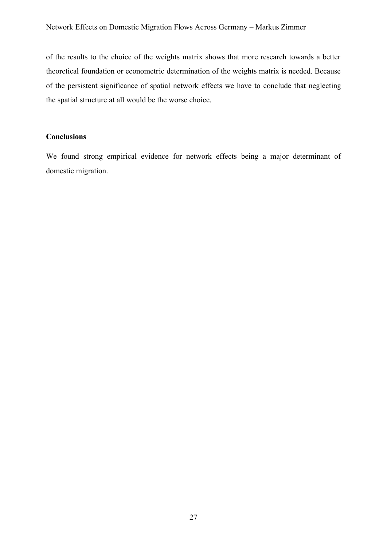of the results to the choice of the weights matrix shows that more research towards a better theoretical foundation or econometric determination of the weights matrix is needed. Because of the persistent significance of spatial network effects we have to conclude that neglecting the spatial structure at all would be the worse choice.

## **Conclusions**

We found strong empirical evidence for network effects being a major determinant of domestic migration.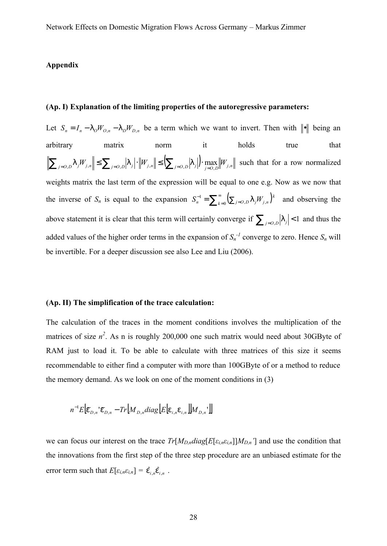#### **Appendix**

#### **(Ap. I) Explanation of the limiting properties of the autoregressive parameters:**

Let  $S_n = I_n - I_0 W_{O,n} - I_0 W_{D,n}$  be a term which we want to invert. Then with  $\|\cdot\|$  being an arbitrary matrix norm it holds true that  $\sum_{j=0,D}$   $|J_jW_{j,n}|| \leq \sum_{j=0,D} |J_j| \cdot ||W_{j,n}|| \leq (\sum_{j=0,D} |J_j|) \cdot \max_{j=0,D} ||W_{j,n}||$  such that for a row normalized weights matrix the last term of the expression will be equal to one e.g. Now as we now that the inverse of  $S_n$  is equal to the expansion  $S_n^{-1} = \sum_{k=0}^{\infty} (\sum_{j=0,D} |jW_{j,n}|)^k$  $e_n^{-1} = \sum_{k=0}^{\infty} \left( \sum_{j=O,D} | \sum_{j} W_{j,k} \right)$ *k*  $S_n^{-1} = \sum_{k=0}^{\infty} (\sum_{j=0,D} |jW_{j,n}|)^k$  and observing the above statement it is clear that this term will certainly converge if  $\sum_{j=0,0} |I_j| < 1$  and thus the added values of the higher order terms in the expansion of  $S_n^{-1}$  converge to zero. Hence  $S_n$  will be invertible. For a deeper discussion see also Lee and Liu (2006).

#### **(Ap. II) The simplification of the trace calculation:**

The calculation of the traces in the moment conditions involves the multiplication of the matrices of size  $n^2$ . As n is roughly 200,000 one such matrix would need about 30GByte of RAM just to load it. To be able to calculate with three matrices of this size it seems recommendable to either find a computer with more than 100GByte of or a method to reduce the memory demand. As we look on one of the moment conditions in (3)

$$
n^{-1}E\big[\overline{\mathbf{e}}_{D,n}\cdot\overline{\mathbf{e}}_{D,n}-Tr\big[M_{D,n}diag\big[E\big[\mathbf{e}_{i,n}\mathbf{e}_{i,n}\big]\big]M_{D,n}\big]\big]
$$

we can focus our interest on the trace  $Tr[M_{D,n}diag[E[\varepsilon_{i,n}\varepsilon_{i,n}]]M_{D,n}$ <sup>'</sup> and use the condition that the innovations from the first step of the three step procedure are an unbiased estimate for the error term such that  $E[\varepsilon_{i,n}\varepsilon_{i,n}] = \hat{\varepsilon}_{i,n}\hat{\varepsilon}_{i,n}$ .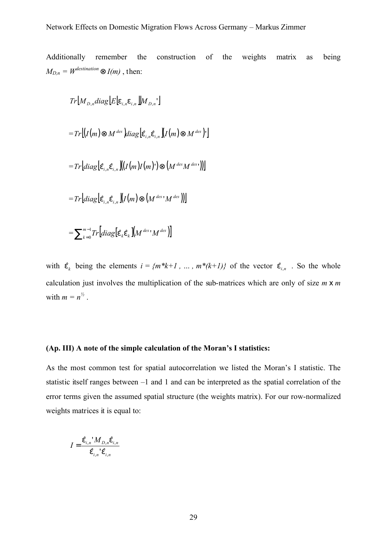Additionally remember the construction of the weights matrix as being  $M_{D,n} = W^{destination} \otimes I(m)$  , then:

$$
Tr[M_{D,n}diag[E]e_{i,n}e_{i,n}][M_{D,n'}]
$$
\n
$$
=Tr[(I(m) \otimes M^{des})diag[\hat{e}_{i,n}\hat{e}_{i,n}][I(m) \otimes M^{des})^{\dagger}]
$$
\n
$$
=Tr[diag[\hat{e}_{i,n}\hat{e}_{i,n}][(I(m)I(m)^{\dagger}) \otimes (M^{des}M^{des})^{\dagger})]
$$
\n
$$
=Tr[diag[\hat{e}_{i,n}\hat{e}_{i,n}][I(m) \otimes (M^{des})M^{des})^{\dagger}]
$$
\n
$$
=\sum_{k=0}^{m-1} Tr[diag[\hat{e}_{k}\hat{e}_{k}][M^{des}]M^{des}]
$$

with  $\hat{e}_k$  being the elements  $i = \{m^*k+1, \ldots, m^*(k+1)\}$  of the vector  $\hat{e}_{i,n}$ . So the whole calculation just involves the multiplication of the sub-matrices which are only of size *m* x *m* with  $m = n^{\frac{1}{2}}$ .

## **(Ap. III) A note of the simple calculation of the Moran's I statistics:**

As the most common test for spatial autocorrelation we listed the Moran's I statistic. The statistic itself ranges between –1 and 1 and can be interpreted as the spatial correlation of the error terms given the assumed spatial structure (the weights matrix). For our row-normalized weights matrices it is equal to:

$$
I = \frac{\hat{\mathbf{e}}_{i,n} M_{D,n} \hat{\mathbf{e}}_{i,n}}{\hat{\mathbf{e}}_{i,n} \cdot \hat{\mathbf{e}}_{i,n}}
$$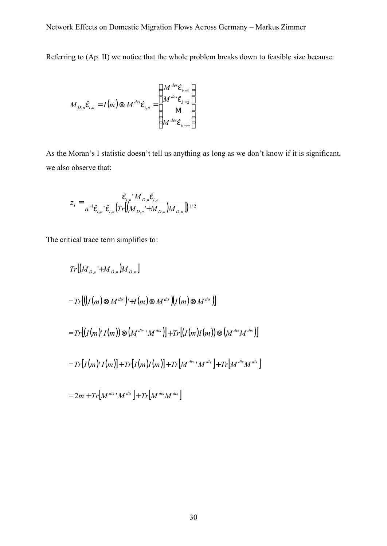Referring to (Ap. II) we notice that the whole problem breaks down to feasible size because:

$$
M_{D,n}\hat{\mathbf{e}}_{i,n} = I(m) \otimes M^{des}\hat{\mathbf{e}}_{i,n} = \begin{pmatrix} M^{des}\hat{\mathbf{e}}_{k=1} \\ M^{des}\hat{\mathbf{e}}_{k=2} \\ M \\ M^{des}\hat{\mathbf{e}}_{k=m} \end{pmatrix}
$$

As the Moran's I statistic doesn't tell us anything as long as we don't know if it is significant, we also observe that:

$$
z_{I} = \frac{\hat{\mathbf{e}}_{i,n} \mathbf{M}_{D,n} \hat{\mathbf{e}}_{i,n}}{n^{-1} \hat{\mathbf{e}}_{i,n} \mathbf{G}_{i,n} \left( Tr \left[ \left( M_{D,n} \mathbf{H}_{D,n} \right) M_{D,n} \right] \right)^{1/2}}
$$

The critical trace term simplifies to:

$$
Tr[(M_{D,n}^{\dagger}+M_{D,n})M_{D,n}]
$$
  
\n
$$
=Tr[((I(m)\otimes M^{dis})^{\dagger}+I(m)\otimes M^{dis})[I(m)\otimes M^{dis})]
$$
  
\n
$$
=Tr[(I(m)^{\dagger}I(m))\otimes (M^{dis}^{\dagger}M^{dis})]+Tr[(I(m)I(m))\otimes (M^{dis}M^{dis})]
$$
  
\n
$$
=Tr[I(m)^{\dagger}I(m)]+Tr[I(m)I(m)]+Tr[M^{dis}^{\dagger}M^{dis}]+Tr[M^{dis}M^{dis}]
$$
  
\n
$$
=2m+Tr[M^{dis}^{\dagger}M^{dis}]+Tr[M^{dis}M^{dis}]
$$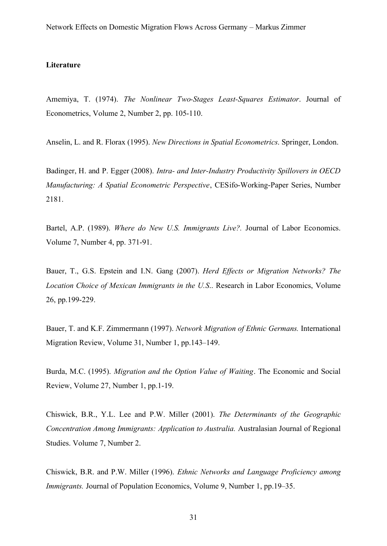#### **Literature**

Amemiya, T. (1974). *The Nonlinear Two-Stages Least-Squares Estimator*. Journal of Econometrics, Volume 2, Number 2, pp. 105-110.

Anselin, L. and R. Florax (1995). *New Directions in Spatial Econometrics*. Springer, London.

Badinger, H. and P. Egger (2008). *Intra- and Inter-Industry Productivity Spillovers in OECD Manufacturing: A Spatial Econometric Perspective*, CESifo-Working-Paper Series, Number 2181.

Bartel, A.P. (1989). *Where do New U.S. Immigrants Live?.* Journal of Labor Economics. Volume 7, Number 4, pp. 371-91.

Bauer, T., G.S. Epstein and I.N. Gang (2007). *Herd Effects or Migration Networks? The Location Choice of Mexican Immigrants in the U.S*.. Research in Labor Economics, Volume 26, pp.199-229.

Bauer, T. and K.F. Zimmermann (1997). *Network Migration of Ethnic Germans.* International Migration Review, Volume 31, Number 1, pp.143–149.

Burda, M.C. (1995). *Migration and the Option Value of Waiting*. The Economic and Social Review, Volume 27, Number 1, pp.1-19.

Chiswick, B.R., Y.L. Lee and P.W. Miller (2001). *The Determinants of the Geographic Concentration Among Immigrants: Application to Australia.* Australasian Journal of Regional Studies. Volume 7, Number 2.

Chiswick, B.R. and P.W. Miller (1996). *Ethnic Networks and Language Proficiency among Immigrants.* Journal of Population Economics, Volume 9, Number 1, pp.19–35.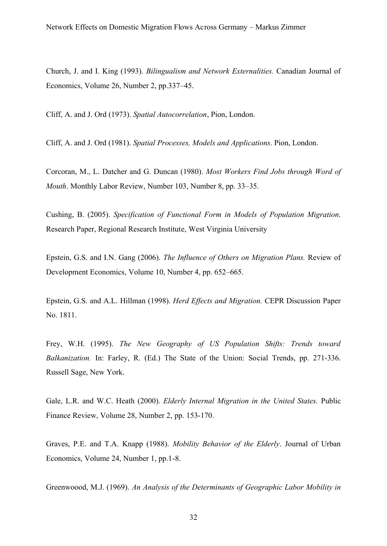Church, J. and I. King (1993). *Bilingualism and Network Externalities.* Canadian Journal of Economics, Volume 26, Number 2, pp.337–45.

Cliff, A. and J. Ord (1973). *Spatial Autocorrelation*, Pion, London.

Cliff, A. and J. Ord (1981). *Spatial Processes, Models and Applications*. Pion, London.

Corcoran, M., L. Datcher and G. Duncan (1980). *Most Workers Find Jobs through Word of Mouth*. Monthly Labor Review, Number 103, Number 8, pp. 33–35.

Cushing, B. (2005). *Specification of Functional Form in Models of Population Migration*. Research Paper, Regional Research Institute, West Virginia University

Epstein, G.S. and I.N. Gang (2006). *The Influence of Others on Migration Plans.* Review of Development Economics, Volume 10, Number 4, pp. 652–665.

Epstein, G.S. and A.L. Hillman (1998). *Herd Effects and Migration.* CEPR Discussion Paper No. 1811.

Frey, W.H. (1995). *The New Geography of US Population Shifts: Trends toward Balkanization.* In: Farley, R. (Ed.) The State of the Union: Social Trends, pp. 271-336. Russell Sage, New York.

Gale, L.R. and W.C. Heath (2000). *Elderly Internal Migration in the United States.* Public Finance Review, Volume 28, Number 2, pp. 153-170.

Graves, P.E. and T.A. Knapp (1988). *Mobility Behavior of the Elderly*. Journal of Urban Economics, Volume 24, Number 1, pp.1-8.

Greenwoood, M.J. (1969). *An Analysis of the Determinants of Geographic Labor Mobility in*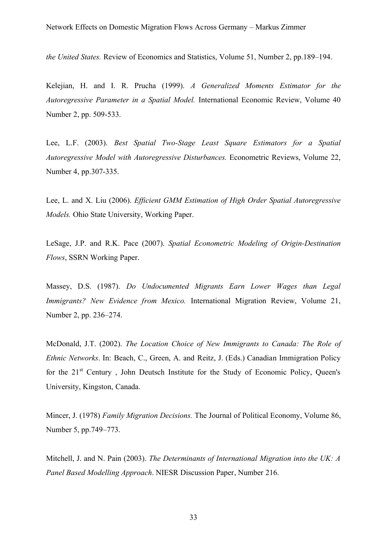*the United States.* Review of Economics and Statistics, Volume 51, Number 2, pp.189–194.

Kelejian, H. and I. R. Prucha (1999). *A Generalized Moments Estimator for the Autoregressive Parameter in a Spatial Model.* International Economic Review, Volume 40 Number 2, pp. 509-533.

Lee, L.F. (2003). *Best Spatial Two-Stage Least Square Estimators for a Spatial Autoregressive Model with Autoregressive Disturbances.* Econometric Reviews, Volume 22, Number 4, pp.307-335.

Lee, L. and X. Liu (2006). *Efficient GMM Estimation of High Order Spatial Autoregressive Models.* Ohio State University, Working Paper.

LeSage, J.P. and R.K. Pace (2007). *Spatial Econometric Modeling of Origin-Destination Flows*, SSRN Working Paper.

Massey, D.S. (1987). *Do Undocumented Migrants Earn Lower Wages than Legal Immigrants? New Evidence from Mexico.* International Migration Review, Volume 21, Number 2, pp. 236–274.

McDonald, J.T. (2002). *The Location Choice of New Immigrants to Canada: The Role of Ethnic Networks*. In: Beach, C., Green, A. and Reitz, J. (Eds.) Canadian Immigration Policy for the  $21<sup>st</sup>$  Century, John Deutsch Institute for the Study of Economic Policy, Queen's University, Kingston, Canada.

Mincer, J. (1978) *Family Migration Decisions.* The Journal of Political Economy, Volume 86, Number 5, pp.749–773.

Mitchell, J. and N. Pain (2003). *The Determinants of International Migration into the UK: A Panel Based Modelling Approach*. NIESR Discussion Paper, Number 216.